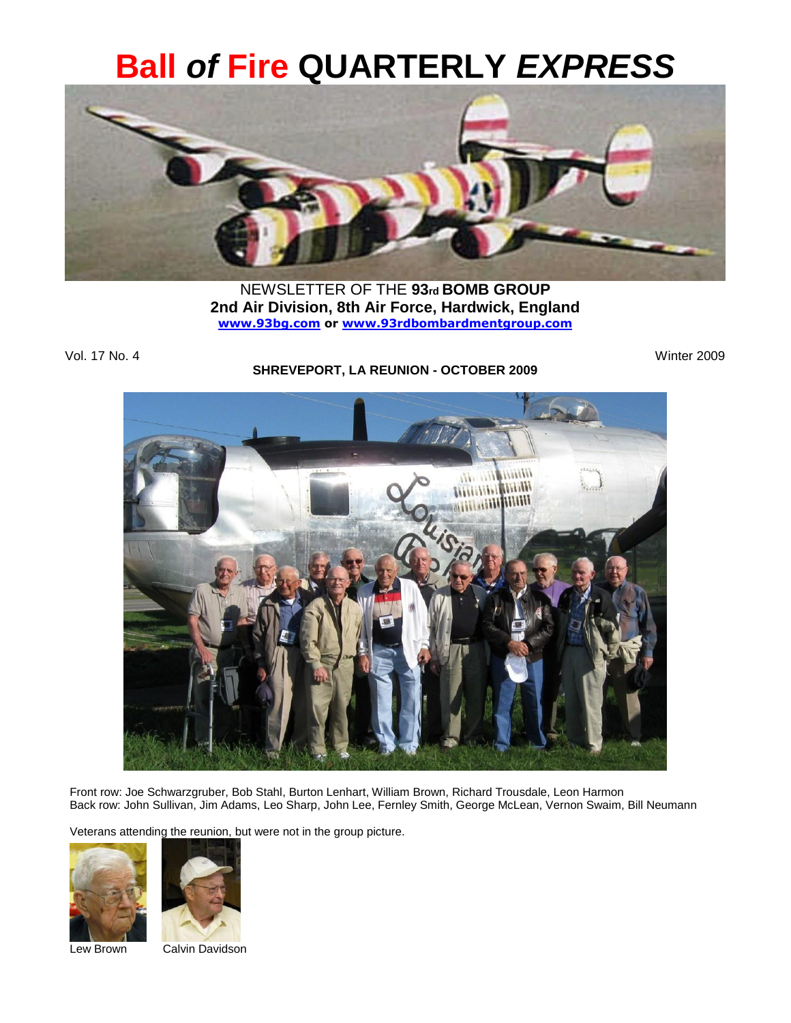# **Ball** *of* **Fire QUARTERLY** *EXPRESS*



NEWSLETTER OF THE **93rd BOMB GROUP 2nd Air Division, 8th Air Force, Hardwick, England [www.93bg.com](http://www.93bg.com/) or [www.93rdbombardmentgroup.com](http://www.93rdbombardmentgroup.com/)**

Vol. 17 No. 4 Winter 2009

#### **SHREVEPORT, LA REUNION - OCTOBER 2009**



Front row: Joe Schwarzgruber, Bob Stahl, Burton Lenhart, William Brown, Richard Trousdale, Leon Harmon Back row: John Sullivan, Jim Adams, Leo Sharp, John Lee, Fernley Smith, George McLean, Vernon Swaim, Bill Neumann

Veterans attending the reunion, but were not in the group picture.





Lew Brown Calvin Davidson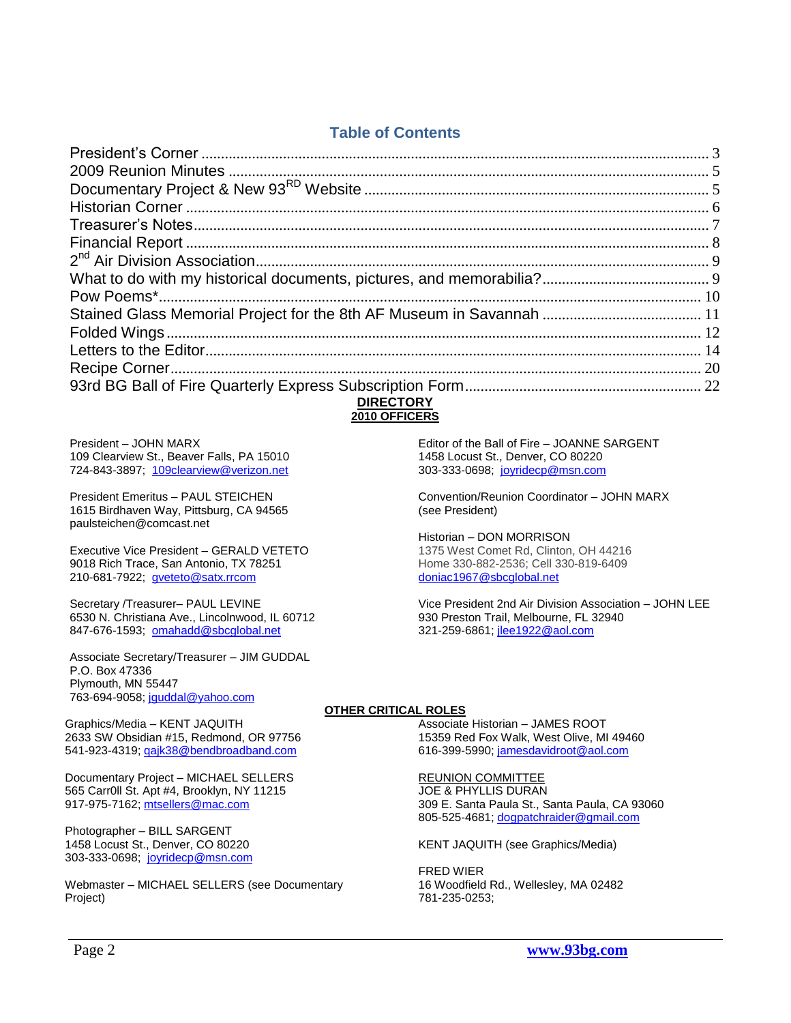## **Table of Contents**

| <b>NIDECTODY</b> |  |
|------------------|--|

#### **DIRECTORY 2010 OFFICERS**

President – JOHN MARX 109 Clearview St., Beaver Falls, PA 15010 724-843-3897; [109clearview@verizon.net](mailto:109clearview@verizon.net)

President Emeritus – PAUL STEICHEN 1615 Birdhaven Way, Pittsburg, CA 94565 paulsteichen@comcast.net

Executive Vice President – GERALD VETETO 9018 Rich Trace, San Antonio, TX 78251 210-681-7922; [gveteto@satx.rrcom](mailto:gveteto@satx.rrcom)

Secretary /Treasurer– PAUL LEVINE 6530 N. Christiana Ave., Lincolnwood, IL 60712 847-676-1593; [omahadd@sbcglobal.net](mailto:omahadd@sbcglobal.net)

Associate Secretary/Treasurer – JIM GUDDAL P.O. Box 47336 Plymouth, MN 55447 763-694-9058; [jguddal@yahoo.com](mailto:jguddal@yahoo.com)

Graphics/Media – KENT JAQUITH 2633 SW Obsidian #15, Redmond, OR 97756 541-923-4319[; qajk38@bendbroadband.com](mailto:qajk38@bendbroadband.com)

Documentary Project – MICHAEL SELLERS 565 Carr0ll St. Apt #4, Brooklyn, NY 11215 917-975-7162[; mtsellers@mac.com](mailto:mtsellers@mac.com)

Photographer – BILL SARGENT 1458 Locust St., Denver, CO 80220 303-333-0698; [joyridecp@msn.com](mailto:joyridecp@msn.com)

Webmaster – MICHAEL SELLERS (see Documentary Project)

Editor of the Ball of Fire – JOANNE SARGENT 1458 Locust St., Denver, CO 80220 303-333-0698; [joyridecp@msn.com](mailto:joyridecp@msn.com)

Convention/Reunion Coordinator – JOHN MARX (see President)

Historian – DON MORRISON 1375 West Comet Rd, Clinton, OH 44216 Home 330-882-2536; Cell 330-819-6409 [doniac1967@sbcglobal.net](mailto:doniac1967@sbcglobal.net)

Vice President 2nd Air Division Association – JOHN LEE 930 Preston Trail, Melbourne, FL 32940 321-259-6861; [jlee1922@aol.com](mailto:jlee1922@aol.com)

#### **OTHER CRITICAL ROLES**

Associate Historian – JAMES ROOT 15359 Red Fox Walk, West Olive, MI 49460 616-399-5990; [jamesdavidroot@aol.com](mailto:jamesdavidroot@aol.com)

REUNION COMMITTEE JOE & PHYLLIS DURAN 309 E. Santa Paula St., Santa Paula, CA 93060

805-525-4681; [dogpatchraider@gmail.com](mailto:dogpatchraider@gmail.com)

KENT JAQUITH (see Graphics/Media)

FRED WIER 16 Woodfield Rd., Wellesley, MA 02482 781-235-0253;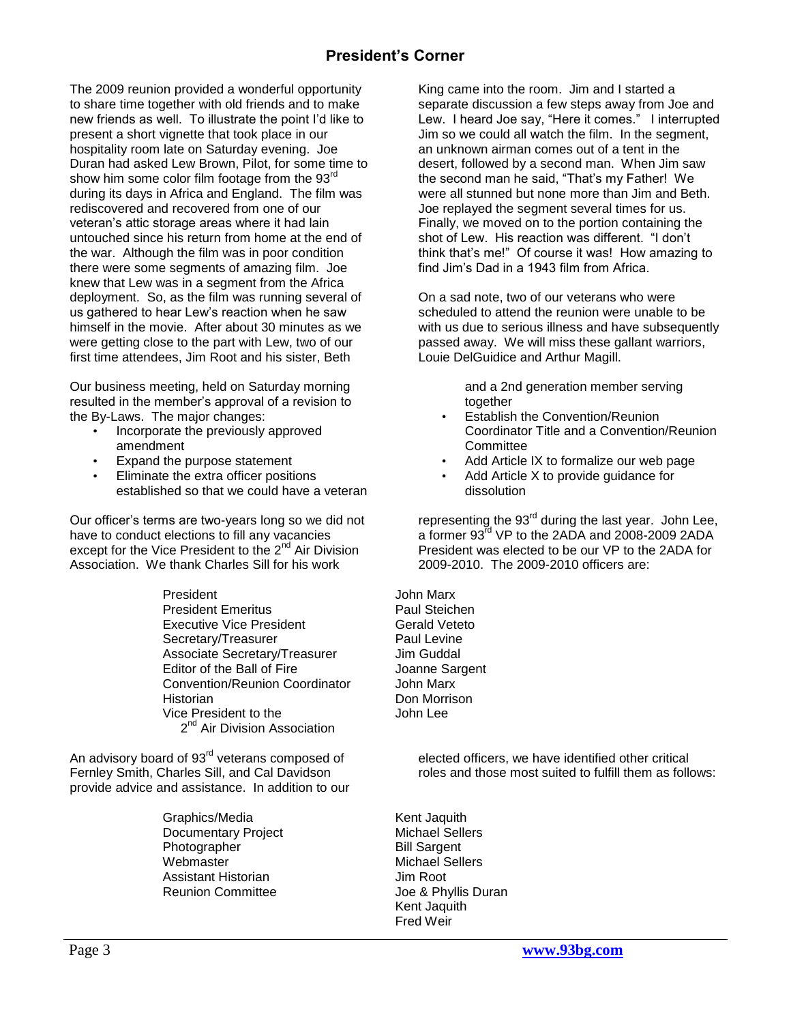## **President's Corner**

<span id="page-2-0"></span>The 2009 reunion provided a wonderful opportunity to share time together with old friends and to make new friends as well. To illustrate the point I"d like to present a short vignette that took place in our hospitality room late on Saturday evening. Joe Duran had asked Lew Brown, Pilot, for some time to show him some color film footage from the  $93<sup>rd</sup>$ during its days in Africa and England. The film was rediscovered and recovered from one of our veteran"s attic storage areas where it had lain untouched since his return from home at the end of the war. Although the film was in poor condition there were some segments of amazing film. Joe knew that Lew was in a segment from the Africa deployment. So, as the film was running several of us gathered to hear Lew"s reaction when he saw himself in the movie. After about 30 minutes as we were getting close to the part with Lew, two of our first time attendees, Jim Root and his sister, Beth

Our business meeting, held on Saturday morning resulted in the member"s approval of a revision to the By-Laws. The major changes:

- Incorporate the previously approved amendment
- Expand the purpose statement
- Eliminate the extra officer positions established so that we could have a veteran

Our officer"s terms are two-years long so we did not have to conduct elections to fill any vacancies except for the Vice President to the 2<sup>nd</sup> Air Division Association. We thank Charles Sill for his work

> President John Marx President Emeritus **Paul Steichen** Executive Vice President **Gerald Veteto** Secretary/Treasurer **Paul Levine** Associate Secretary/Treasurer Jim Guddal Editor of the Ball of Fire **Joanne Sargent** Convention/Reunion Coordinator John Marx Historian **Don Morrison** Vice President to the John Lee 2<sup>nd</sup> Air Division Association

An advisory board of 93<sup>rd</sup> veterans composed of Fernley Smith, Charles Sill, and Cal Davidson provide advice and assistance. In addition to our

> Graphics/Media Kent Jaquith Documentary Project Michael Sellers Photographer Bill Sargent Webmaster **Michael Sellers** Assistant Historian **Jim Root** Reunion Committee Joe & Phyllis Duran

King came into the room. Jim and I started a separate discussion a few steps away from Joe and Lew. I heard Joe say, "Here it comes." I interrupted Jim so we could all watch the film. In the segment, an unknown airman comes out of a tent in the desert, followed by a second man. When Jim saw the second man he said, "That"s my Father! We were all stunned but none more than Jim and Beth. Joe replayed the segment several times for us. Finally, we moved on to the portion containing the shot of Lew. His reaction was different. "I don"t think that"s me!" Of course it was! How amazing to find Jim"s Dad in a 1943 film from Africa.

On a sad note, two of our veterans who were scheduled to attend the reunion were unable to be with us due to serious illness and have subsequently passed away. We will miss these gallant warriors, Louie DelGuidice and Arthur Magill.

> and a 2nd generation member serving together

- Establish the Convention/Reunion Coordinator Title and a Convention/Reunion **Committee**
- Add Article IX to formalize our web page
- Add Article X to provide guidance for dissolution

representing the  $93<sup>rd</sup>$  during the last year. John Lee, a former 93 $^{\rm rd}$  VP to the 2ADA and 2008-2009 2ADA  $^{\rm c}$ President was elected to be our VP to the 2ADA for 2009-2010. The 2009-2010 officers are:

elected officers, we have identified other critical roles and those most suited to fulfill them as follows:

Kent Jaquith Fred Weir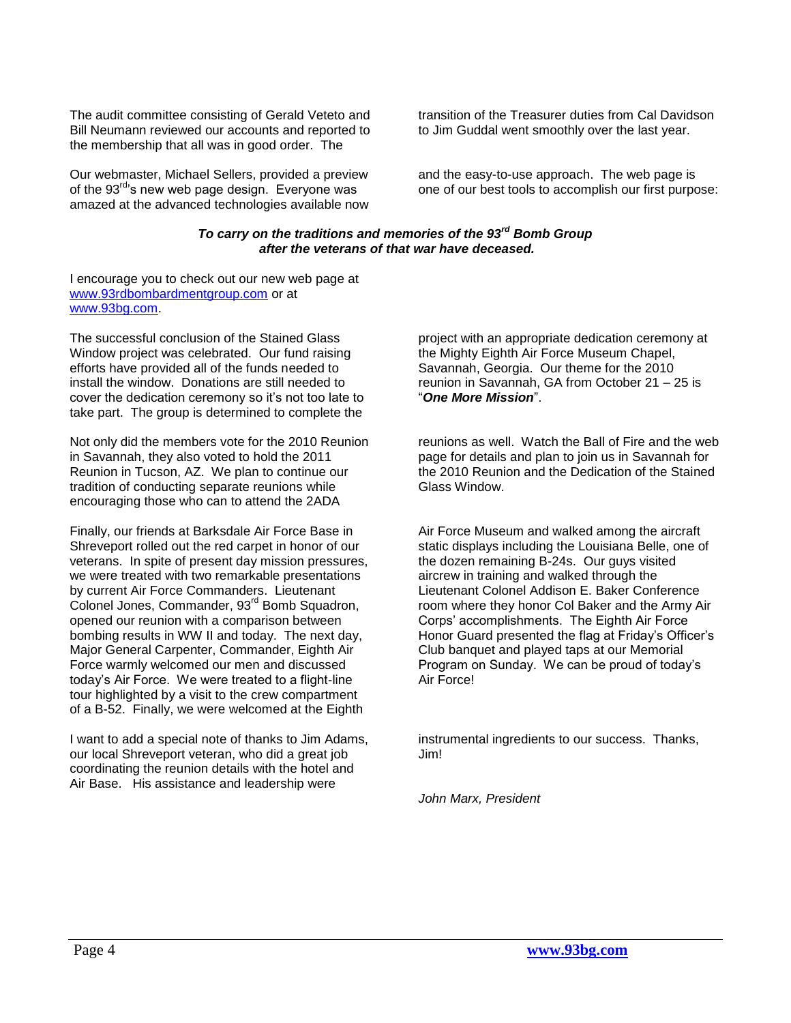The audit committee consisting of Gerald Veteto and Bill Neumann reviewed our accounts and reported to the membership that all was in good order. The

Our webmaster, Michael Sellers, provided a preview of the  $93<sup>rd</sup>$ 's new web page design. Everyone was amazed at the advanced technologies available now transition of the Treasurer duties from Cal Davidson to Jim Guddal went smoothly over the last year.

and the easy-to-use approach. The web page is one of our best tools to accomplish our first purpose:

#### *To carry on the traditions and memories of the 93rd Bomb Group after the veterans of that war have deceased.*

I encourage you to check out our new web page at [www.93rdbombardmentgroup.com](http://www.93rdbombardmentgroup.com/) or at [www.93bg.com.](http://www.93bg.com/)

The successful conclusion of the Stained Glass Window project was celebrated. Our fund raising efforts have provided all of the funds needed to install the window. Donations are still needed to cover the dedication ceremony so it"s not too late to take part. The group is determined to complete the

Not only did the members vote for the 2010 Reunion in Savannah, they also voted to hold the 2011 Reunion in Tucson, AZ. We plan to continue our tradition of conducting separate reunions while encouraging those who can to attend the 2ADA

Finally, our friends at Barksdale Air Force Base in Shreveport rolled out the red carpet in honor of our veterans. In spite of present day mission pressures, we were treated with two remarkable presentations by current Air Force Commanders. Lieutenant Colonel Jones, Commander, 93<sup>rd</sup> Bomb Squadron, opened our reunion with a comparison between bombing results in WW II and today. The next day, Major General Carpenter, Commander, Eighth Air Force warmly welcomed our men and discussed today"s Air Force. We were treated to a flight-line tour highlighted by a visit to the crew compartment of a B-52. Finally, we were welcomed at the Eighth

I want to add a special note of thanks to Jim Adams, our local Shreveport veteran, who did a great job coordinating the reunion details with the hotel and Air Base. His assistance and leadership were

project with an appropriate dedication ceremony at the Mighty Eighth Air Force Museum Chapel, Savannah, Georgia. Our theme for the 2010 reunion in Savannah, GA from October 21 – 25 is "*One More Mission*".

reunions as well. Watch the Ball of Fire and the web page for details and plan to join us in Savannah for the 2010 Reunion and the Dedication of the Stained Glass Window.

Air Force Museum and walked among the aircraft static displays including the Louisiana Belle, one of the dozen remaining B-24s. Our guys visited aircrew in training and walked through the Lieutenant Colonel Addison E. Baker Conference room where they honor Col Baker and the Army Air Corps" accomplishments. The Eighth Air Force Honor Guard presented the flag at Friday"s Officer"s Club banquet and played taps at our Memorial Program on Sunday. We can be proud of today"s Air Force!

instrumental ingredients to our success. Thanks, Jim!

*John Marx, President*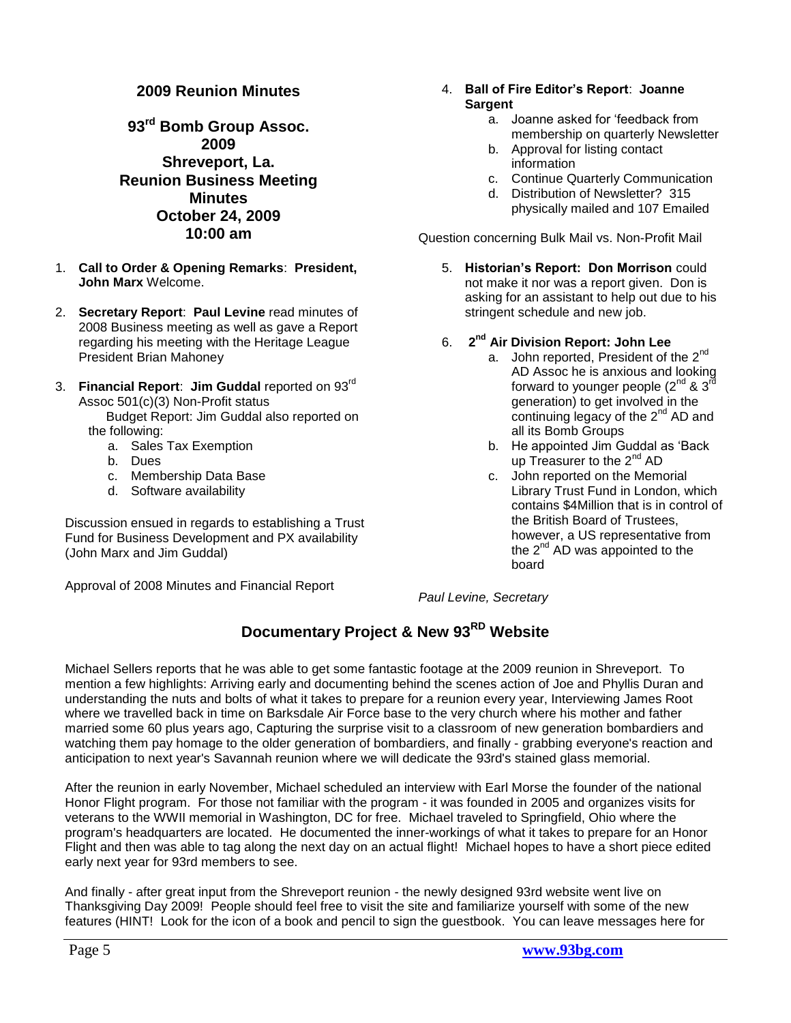#### **2009 Reunion Minutes**

<span id="page-4-0"></span>**93rd Bomb Group Assoc. 2009 Shreveport, La. Reunion Business Meeting Minutes October 24, 2009 10:00 am**

- 1. **Call to Order & Opening Remarks**: **President, John Marx** Welcome.
- 2. **Secretary Report**: **Paul Levine** read minutes of 2008 Business meeting as well as gave a Report regarding his meeting with the Heritage League President Brian Mahoney
- 3. **Financial Report**: **Jim Guddal** reported on 93rd Assoc 501(c)(3) Non-Profit status

 Budget Report: Jim Guddal also reported on the following:

- a. Sales Tax Exemption
- b. Dues
- c. Membership Data Base
- d. Software availability

Discussion ensued in regards to establishing a Trust Fund for Business Development and PX availability (John Marx and Jim Guddal)

Approval of 2008 Minutes and Financial Report

#### 4. **Ball of Fire Editor's Report**: **Joanne Sargent**

- a. Joanne asked for "feedback from membership on quarterly Newsletter
- b. Approval for listing contact information
- c. Continue Quarterly Communication
- d. Distribution of Newsletter? 315 physically mailed and 107 Emailed

Question concerning Bulk Mail vs. Non-Profit Mail

- 5. **Historian's Report: Don Morrison** could not make it nor was a report given. Don is asking for an assistant to help out due to his stringent schedule and new job.
- 6. **2 nd Air Division Report: John Lee**
	- a. John reported, President of the 2<sup>nd</sup> AD Assoc he is anxious and looking forward to younger people  $(2^{nd}$  &  $3^{rd}$ generation) to get involved in the continuing legacy of the  $2^{nd}$  AD and all its Bomb Groups
	- b. He appointed Jim Guddal as "Back up Treasurer to the  $2^{nd}$  AD
	- c. John reported on the Memorial Library Trust Fund in London, which contains \$4Million that is in control of the British Board of Trustees, however, a US representative from the  $2^{nd}$  AD was appointed to the board

*Paul Levine, Secretary*

## **Documentary Project & New 93RD Website**

<span id="page-4-1"></span>Michael Sellers reports that he was able to get some fantastic footage at the 2009 reunion in Shreveport. To mention a few highlights: Arriving early and documenting behind the scenes action of Joe and Phyllis Duran and understanding the nuts and bolts of what it takes to prepare for a reunion every year, Interviewing James Root where we travelled back in time on Barksdale Air Force base to the very church where his mother and father married some 60 plus years ago, Capturing the surprise visit to a classroom of new generation bombardiers and watching them pay homage to the older generation of bombardiers, and finally - grabbing everyone's reaction and anticipation to next year's Savannah reunion where we will dedicate the 93rd's stained glass memorial.

After the reunion in early November, Michael scheduled an interview with Earl Morse the founder of the national Honor Flight program. For those not familiar with the program - it was founded in 2005 and organizes visits for veterans to the WWII memorial in Washington, DC for free. Michael traveled to Springfield, Ohio where the program's headquarters are located. He documented the inner-workings of what it takes to prepare for an Honor Flight and then was able to tag along the next day on an actual flight! Michael hopes to have a short piece edited early next year for 93rd members to see.

And finally - after great input from the Shreveport reunion - the newly designed 93rd website went live on Thanksgiving Day 2009! People should feel free to visit the site and familiarize yourself with some of the new features (HINT! Look for the icon of a book and pencil to sign the guestbook. You can leave messages here for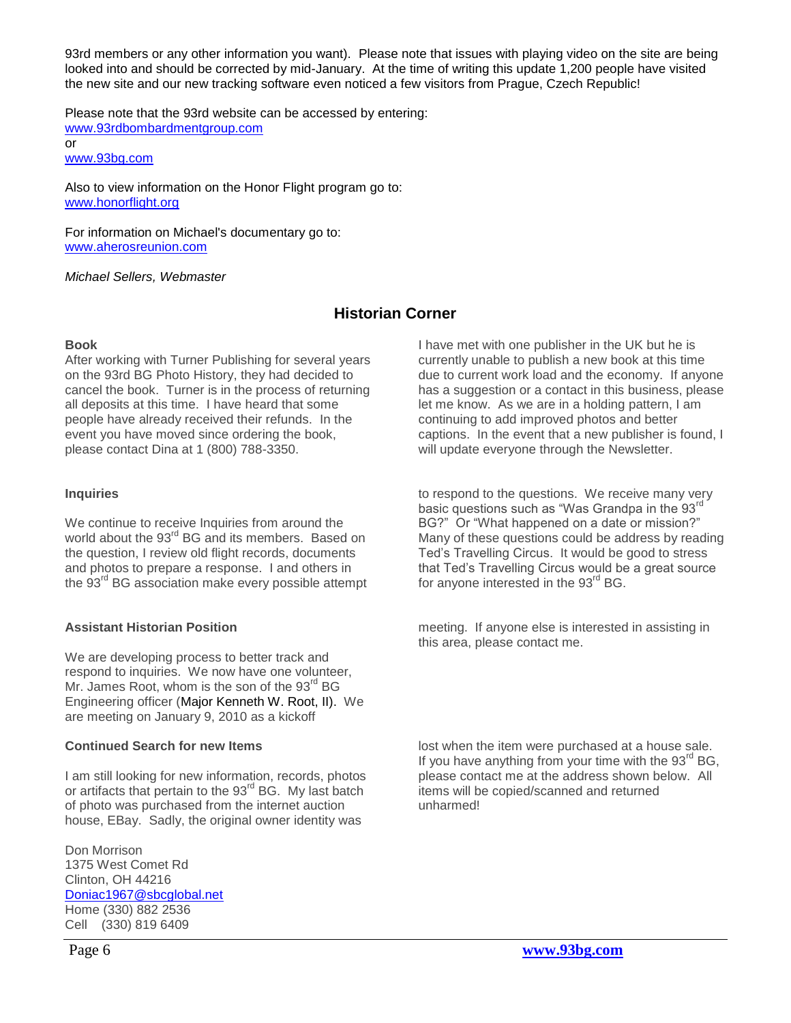93rd members or any other information you want). Please note that issues with playing video on the site are being looked into and should be corrected by mid-January. At the time of writing this update 1,200 people have visited the new site and our new tracking software even noticed a few visitors from Prague, Czech Republic!

Please note that the 93rd website can be accessed by entering: [www.93rdbombardmentgroup.com](http://www.93rdbombardmentgroup.com/) or [www.93bg.com](http://www.93bg.com/)

Also to view information on the Honor Flight program go to: [www.honorflight.org](http://www.honorflight.org/)

For information on Michael's documentary go to: [www.aherosreunion.com](http://www.aherosreunion.com/)

#### *Michael Sellers, Webmaster*

## **Historian Corner**

#### <span id="page-5-0"></span>**Book**

After working with Turner Publishing for several years on the 93rd BG Photo History, they had decided to cancel the book. Turner is in the process of returning all deposits at this time. I have heard that some people have already received their refunds. In the event you have moved since ordering the book, please contact Dina at 1 (800) 788-3350.

#### **Inquiries**

We continue to receive Inquiries from around the world about the 93<sup>rd</sup> BG and its members. Based on the question, I review old flight records, documents and photos to prepare a response. I and others in the 93<sup>rd</sup> BG association make every possible attempt

#### **Assistant Historian Position**

We are developing process to better track and respond to inquiries. We now have one volunteer, Mr. James Root, whom is the son of the  $93<sup>rd</sup> BG$ Engineering officer (Major Kenneth W. Root, II). We are meeting on January 9, 2010 as a kickoff

#### **Continued Search for new Items**

I am still looking for new information, records, photos or artifacts that pertain to the 93<sup>rd</sup> BG. My last batch of photo was purchased from the internet auction house, EBay. Sadly, the original owner identity was

Don Morrison 1375 West Comet Rd Clinton, OH 44216 [Doniac1967@sbcglobal.net](mailto:Doniac1967@sbcglobal.net) Home (330) 882 2536 Cell (330) 819 6409

I have met with one publisher in the UK but he is currently unable to publish a new book at this time due to current work load and the economy. If anyone has a suggestion or a contact in this business, please let me know. As we are in a holding pattern, I am continuing to add improved photos and better captions. In the event that a new publisher is found, I will update everyone through the Newsletter.

to respond to the questions. We receive many very basic questions such as "Was Grandpa in the 93<sup>rd</sup> BG?" Or "What happened on a date or mission?" Many of these questions could be address by reading Ted"s Travelling Circus. It would be good to stress that Ted"s Travelling Circus would be a great source for anyone interested in the 93<sup>rd</sup> BG.

meeting. If anyone else is interested in assisting in this area, please contact me.

lost when the item were purchased at a house sale. If you have anything from your time with the  $93<sup>rd</sup> BG$ , please contact me at the address shown below. All items will be copied/scanned and returned unharmed!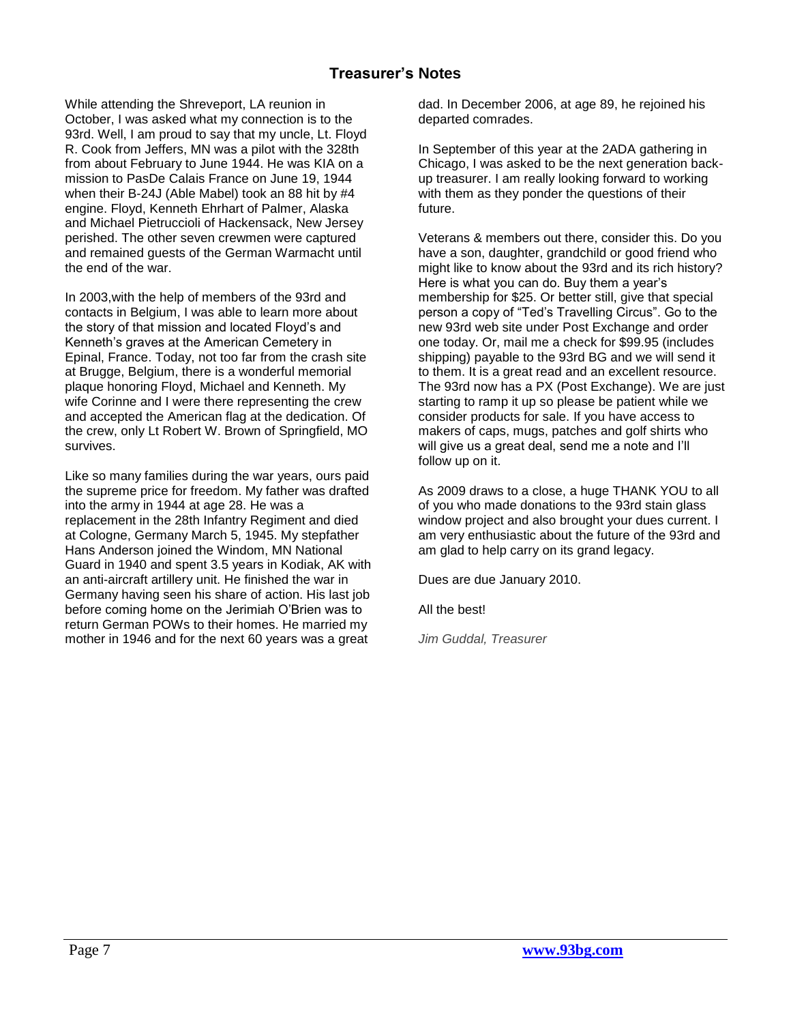## **Treasurer's Notes**

<span id="page-6-0"></span>While attending the Shreveport, LA reunion in October, I was asked what my connection is to the 93rd. Well, I am proud to say that my uncle, Lt. Floyd R. Cook from Jeffers, MN was a pilot with the 328th from about February to June 1944. He was KIA on a mission to PasDe Calais France on June 19, 1944 when their B-24J (Able Mabel) took an 88 hit by #4 engine. Floyd, Kenneth Ehrhart of Palmer, Alaska and Michael Pietruccioli of Hackensack, New Jersey perished. The other seven crewmen were captured and remained guests of the German Warmacht until the end of the war.

In 2003,with the help of members of the 93rd and contacts in Belgium, I was able to learn more about the story of that mission and located Floyd"s and Kenneth's graves at the American Cemetery in Epinal, France. Today, not too far from the crash site at Brugge, Belgium, there is a wonderful memorial plaque honoring Floyd, Michael and Kenneth. My wife Corinne and I were there representing the crew and accepted the American flag at the dedication. Of the crew, only Lt Robert W. Brown of Springfield, MO survives.

Like so many families during the war years, ours paid the supreme price for freedom. My father was drafted into the army in 1944 at age 28. He was a replacement in the 28th Infantry Regiment and died at Cologne, Germany March 5, 1945. My stepfather Hans Anderson joined the Windom, MN National Guard in 1940 and spent 3.5 years in Kodiak, AK with an anti-aircraft artillery unit. He finished the war in Germany having seen his share of action. His last job before coming home on the Jerimiah O"Brien was to return German POWs to their homes. He married my mother in 1946 and for the next 60 years was a great

dad. In December 2006, at age 89, he rejoined his departed comrades.

In September of this year at the 2ADA gathering in Chicago, I was asked to be the next generation backup treasurer. I am really looking forward to working with them as they ponder the questions of their future.

Veterans & members out there, consider this. Do you have a son, daughter, grandchild or good friend who might like to know about the 93rd and its rich history? Here is what you can do. Buy them a year"s membership for \$25. Or better still, give that special person a copy of "Ted"s Travelling Circus". Go to the new 93rd web site under Post Exchange and order one today. Or, mail me a check for \$99.95 (includes shipping) payable to the 93rd BG and we will send it to them. It is a great read and an excellent resource. The 93rd now has a PX (Post Exchange). We are just starting to ramp it up so please be patient while we consider products for sale. If you have access to makers of caps, mugs, patches and golf shirts who will give us a great deal, send me a note and I"ll follow up on it.

As 2009 draws to a close, a huge THANK YOU to all of you who made donations to the 93rd stain glass window project and also brought your dues current. I am very enthusiastic about the future of the 93rd and am glad to help carry on its grand legacy.

Dues are due January 2010.

All the best!

*Jim Guddal, Treasurer*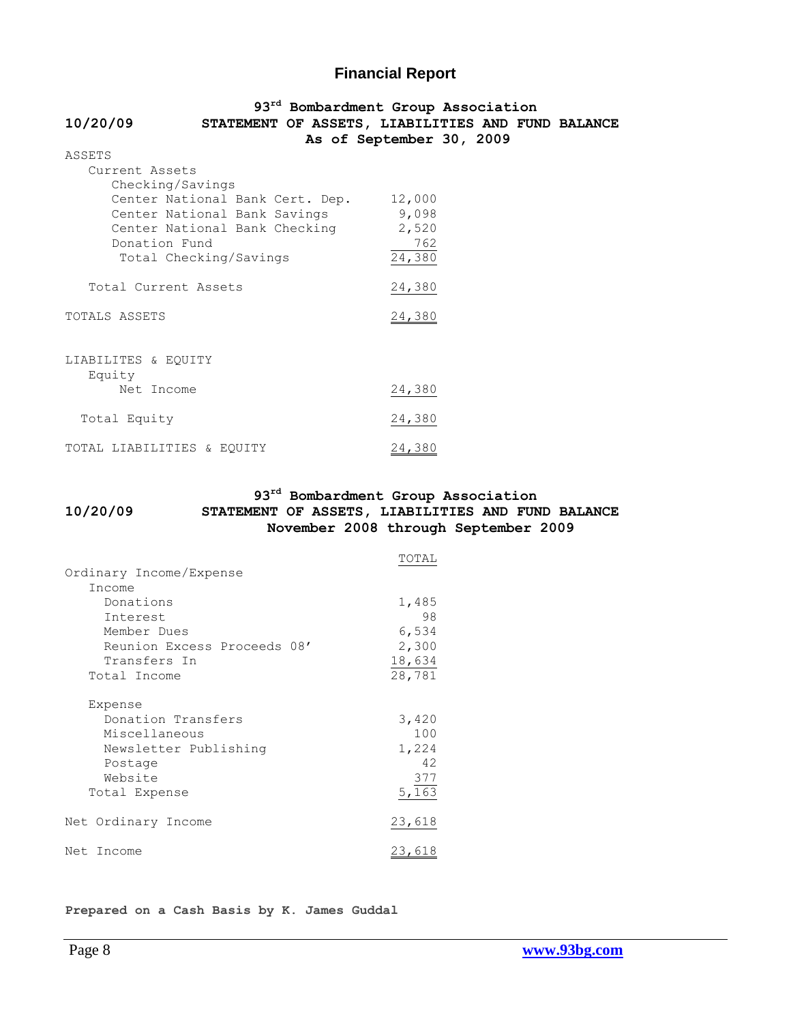### **Financial Report**

<span id="page-7-0"></span>

|                                        | 93 <sup>rd</sup> Bombardment Group Association    |
|----------------------------------------|---------------------------------------------------|
| 10/20/09                               | STATEMENT OF ASSETS, LIABILITIES AND FUND BALANCE |
|                                        | As of September 30, 2009                          |
| ASSETS                                 |                                                   |
| Current Assets                         |                                                   |
| Checking/Savings                       |                                                   |
| Center National Bank Cert. Dep. 12,000 |                                                   |
| Center National Bank Savings           | 9,098                                             |
| Center National Bank Checking          | 2,520                                             |
| Donation Fund                          | 762                                               |
| Total Checking/Savings                 | 24,380                                            |
|                                        |                                                   |
| Total Current Assets                   | 24,380                                            |
|                                        |                                                   |
| TOTALS ASSETS                          | 24,380                                            |
|                                        |                                                   |
|                                        |                                                   |
| LIABILITES & EQUITY                    |                                                   |
| Equity                                 |                                                   |
| Net Income                             | 24,380                                            |
|                                        |                                                   |
| Total Equity                           | 24,380                                            |
|                                        |                                                   |
| TOTAL LIABILITIES & EOUITY             | 24,380                                            |

#### **93rd Bombardment Group Association 10/20/09 STATEMENT OF ASSETS, LIABILITIES AND FUND BALANCE November 2008 through September 2009**

|                             | TOTAL  |  |
|-----------------------------|--------|--|
| Ordinary Income/Expense     |        |  |
| Income                      |        |  |
| Donations                   | 1,485  |  |
| Interest                    | 98     |  |
| Member Dues                 | 6,534  |  |
| Reunion Excess Proceeds 08' | 2,300  |  |
| Transfers In                | 18,634 |  |
| Total Income                | 28,781 |  |
| Expense                     |        |  |
| Donation Transfers          | 3,420  |  |
| Miscellaneous               | 100    |  |
| Newsletter Publishing       | 1,224  |  |
| Postage                     | 42     |  |
| Website                     | 377    |  |
| Total Expense               | 5,163  |  |
| Net Ordinary Income         | 23,618 |  |
| Net Income                  | 23,618 |  |

**Prepared on a Cash Basis by K. James Guddal**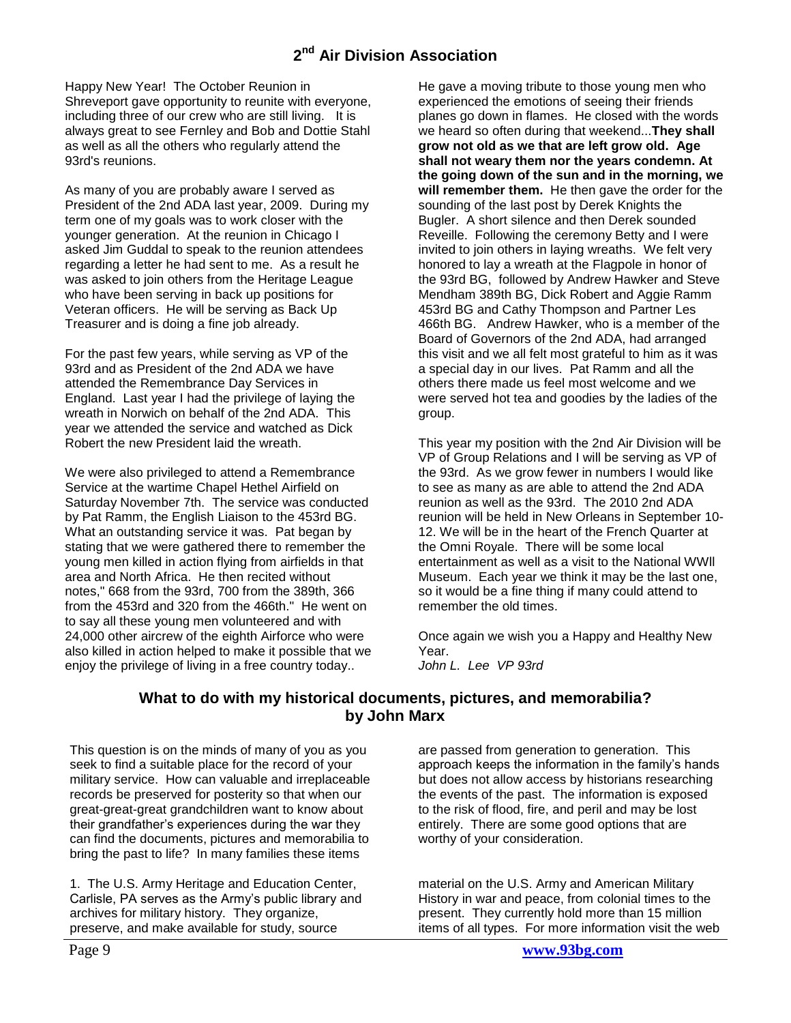<span id="page-8-0"></span>Happy New Year! The October Reunion in Shreveport gave opportunity to reunite with everyone, including three of our crew who are still living. It is always great to see Fernley and Bob and Dottie Stahl as well as all the others who regularly attend the 93rd's reunions.

As many of you are probably aware I served as President of the 2nd ADA last year, 2009. During my term one of my goals was to work closer with the younger generation. At the reunion in Chicago I asked Jim Guddal to speak to the reunion attendees regarding a letter he had sent to me. As a result he was asked to join others from the Heritage League who have been serving in back up positions for Veteran officers. He will be serving as Back Up Treasurer and is doing a fine job already.

For the past few years, while serving as VP of the 93rd and as President of the 2nd ADA we have attended the Remembrance Day Services in England. Last year I had the privilege of laying the wreath in Norwich on behalf of the 2nd ADA. This year we attended the service and watched as Dick Robert the new President laid the wreath.

We were also privileged to attend a Remembrance Service at the wartime Chapel Hethel Airfield on Saturday November 7th. The service was conducted by Pat Ramm, the English Liaison to the 453rd BG. What an outstanding service it was. Pat began by stating that we were gathered there to remember the young men killed in action flying from airfields in that area and North Africa. He then recited without notes," 668 from the 93rd, 700 from the 389th, 366 from the 453rd and 320 from the 466th." He went on to say all these young men volunteered and with 24,000 other aircrew of the eighth Airforce who were also killed in action helped to make it possible that we enjoy the privilege of living in a free country today..

He gave a moving tribute to those young men who experienced the emotions of seeing their friends planes go down in flames. He closed with the words we heard so often during that weekend...**They shall grow not old as we that are left grow old. Age shall not weary them nor the years condemn. At the going down of the sun and in the morning, we will remember them.** He then gave the order for the sounding of the last post by Derek Knights the Bugler. A short silence and then Derek sounded Reveille. Following the ceremony Betty and I were invited to join others in laying wreaths. We felt very honored to lay a wreath at the Flagpole in honor of the 93rd BG, followed by Andrew Hawker and Steve Mendham 389th BG, Dick Robert and Aggie Ramm 453rd BG and Cathy Thompson and Partner Les 466th BG. Andrew Hawker, who is a member of the Board of Governors of the 2nd ADA, had arranged this visit and we all felt most grateful to him as it was a special day in our lives. Pat Ramm and all the others there made us feel most welcome and we were served hot tea and goodies by the ladies of the group.

This year my position with the 2nd Air Division will be VP of Group Relations and I will be serving as VP of the 93rd. As we grow fewer in numbers I would like to see as many as are able to attend the 2nd ADA reunion as well as the 93rd. The 2010 2nd ADA reunion will be held in New Orleans in September 10- 12. We will be in the heart of the French Quarter at the Omni Royale. There will be some local entertainment as well as a visit to the National WWll Museum. Each year we think it may be the last one, so it would be a fine thing if many could attend to remember the old times.

Once again we wish you a Happy and Healthy New Year. *John L. Lee VP 93rd*

### **What to do with my historical documents, pictures, and memorabilia? by John Marx**

<span id="page-8-1"></span>This question is on the minds of many of you as you seek to find a suitable place for the record of your military service. How can valuable and irreplaceable records be preserved for posterity so that when our great-great-great grandchildren want to know about their grandfather"s experiences during the war they can find the documents, pictures and memorabilia to bring the past to life? In many families these items

1. The U.S. Army Heritage and Education Center, Carlisle, PA serves as the Army"s public library and archives for military history. They organize, preserve, and make available for study, source

are passed from generation to generation. This approach keeps the information in the family"s hands but does not allow access by historians researching the events of the past. The information is exposed to the risk of flood, fire, and peril and may be lost entirely. There are some good options that are worthy of your consideration.

material on the U.S. Army and American Military History in war and peace, from colonial times to the present. They currently hold more than 15 million items of all types. For more information visit the web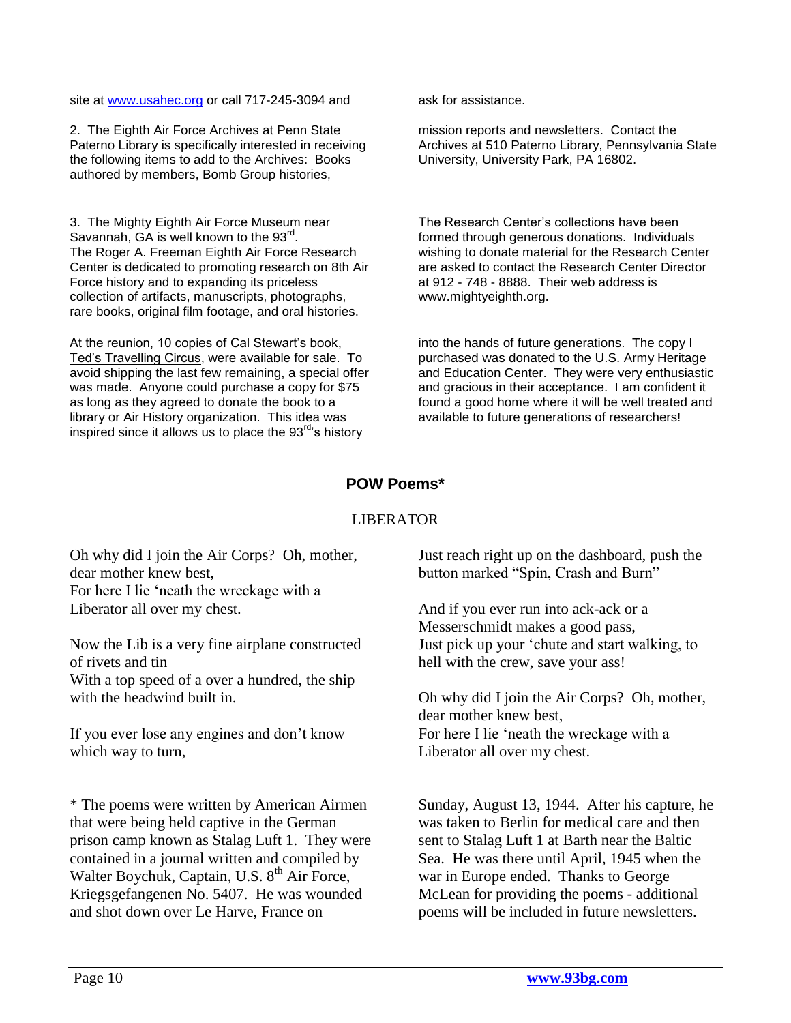site at [www.usahec.org](http://www.usahec.org/) or call 717-245-3094 and ask for assistance.

2. The Eighth Air Force Archives at Penn State Paterno Library is specifically interested in receiving the following items to add to the Archives: Books authored by members, Bomb Group histories,

3. The Mighty Eighth Air Force Museum near Savannah, GA is well known to the 93<sup>rd</sup>. The Roger A. Freeman Eighth Air Force Research Center is dedicated to promoting research on 8th Air Force history and to expanding its priceless collection of artifacts, manuscripts, photographs, rare books, original film footage, and oral histories.

At the reunion, 10 copies of Cal Stewart"s book, Ted"s Travelling Circus, were available for sale. To avoid shipping the last few remaining, a special offer was made. Anyone could purchase a copy for \$75 as long as they agreed to donate the book to a library or Air History organization. This idea was inspired since it allows us to place the  $93<sup>rd</sup>$ 's history

mission reports and newsletters. Contact the Archives at 510 Paterno Library, Pennsylvania State University, University Park, PA 16802.

The Research Center"s collections have been formed through generous donations. Individuals wishing to donate material for the Research Center are asked to contact the Research Center Director at 912 - 748 - 8888. Their web address is www.mightyeighth.org.

into the hands of future generations. The copy I purchased was donated to the U.S. Army Heritage and Education Center. They were very enthusiastic and gracious in their acceptance. I am confident it found a good home where it will be well treated and available to future generations of researchers!

## **POW Poems\***

### LIBERATOR

<span id="page-9-0"></span>Oh why did I join the Air Corps? Oh, mother, dear mother knew best, For here I lie "neath the wreckage with a Liberator all over my chest.

Now the Lib is a very fine airplane constructed of rivets and tin With a top speed of a over a hundred, the ship with the headwind built in.

If you ever lose any engines and don"t know which way to turn,

\* The poems were written by American Airmen that were being held captive in the German prison camp known as Stalag Luft 1. They were contained in a journal written and compiled by Walter Boychuk, Captain, U.S. 8<sup>th</sup> Air Force, Kriegsgefangenen No. 5407. He was wounded and shot down over Le Harve, France on

Just reach right up on the dashboard, push the button marked "Spin, Crash and Burn"

And if you ever run into ack-ack or a Messerschmidt makes a good pass, Just pick up your "chute and start walking, to hell with the crew, save your ass!

Oh why did I join the Air Corps? Oh, mother, dear mother knew best, For here I lie "neath the wreckage with a Liberator all over my chest.

Sunday, August 13, 1944. After his capture, he was taken to Berlin for medical care and then sent to Stalag Luft 1 at Barth near the Baltic Sea. He was there until April, 1945 when the war in Europe ended. Thanks to George McLean for providing the poems - additional poems will be included in future newsletters.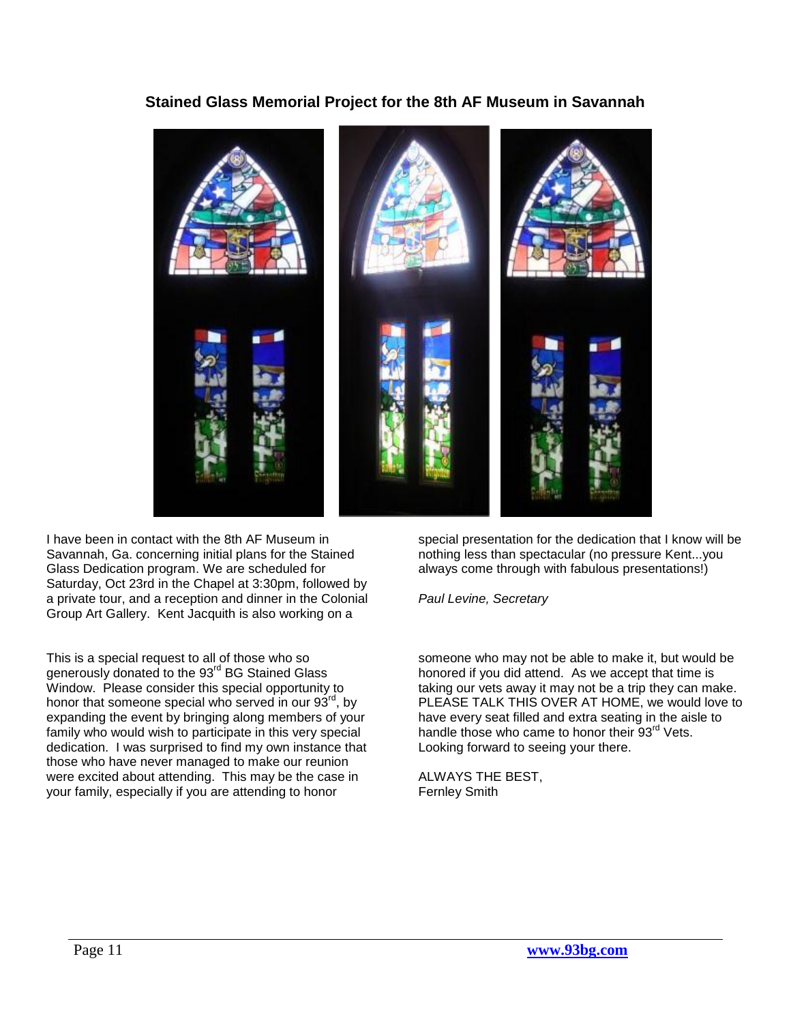## **Stained Glass Memorial Project for the 8th AF Museum in Savannah**

<span id="page-10-0"></span>

I have been in contact with the 8th AF Museum in Savannah, Ga. concerning initial plans for the Stained Glass Dedication program. We are scheduled for Saturday, Oct 23rd in the Chapel at 3:30pm, followed by a private tour, and a reception and dinner in the Colonial Group Art Gallery. Kent Jacquith is also working on a

This is a special request to all of those who so generously donated to the 93<sup>rd</sup> BG Stained Glass Window. Please consider this special opportunity to honor that someone special who served in our  $93<sup>rd</sup>$ , by expanding the event by bringing along members of your family who would wish to participate in this very special dedication. I was surprised to find my own instance that those who have never managed to make our reunion were excited about attending. This may be the case in your family, especially if you are attending to honor

special presentation for the dedication that I know will be nothing less than spectacular (no pressure Kent...you always come through with fabulous presentations!)

*Paul Levine, Secretary*

someone who may not be able to make it, but would be honored if you did attend. As we accept that time is taking our vets away it may not be a trip they can make. PLEASE TALK THIS OVER AT HOME, we would love to have every seat filled and extra seating in the aisle to handle those who came to honor their 93<sup>rd</sup> Vets. Looking forward to seeing your there.

ALWAYS THE BEST, Fernley Smith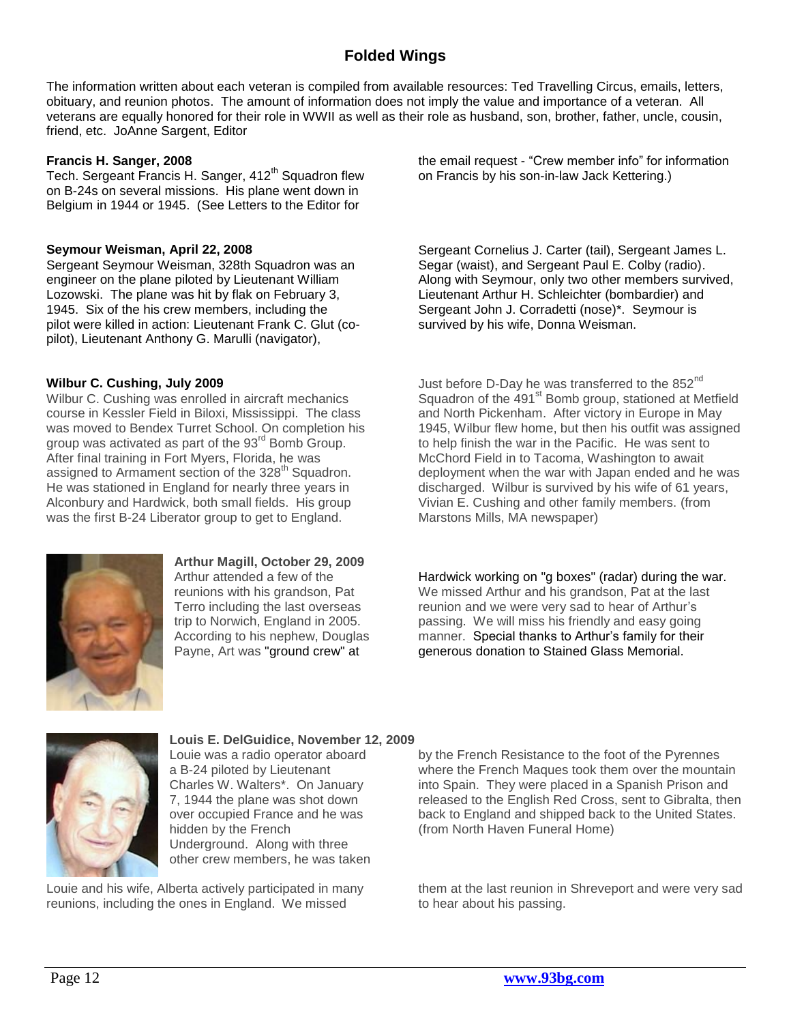## **Folded Wings**

<span id="page-11-0"></span>The information written about each veteran is compiled from available resources: Ted Travelling Circus, emails, letters, obituary, and reunion photos. The amount of information does not imply the value and importance of a veteran. All veterans are equally honored for their role in WWII as well as their role as husband, son, brother, father, uncle, cousin, friend, etc. JoAnne Sargent, Editor

#### **Francis H. Sanger, 2008**

Tech. Sergeant Francis H. Sanger, 412<sup>th</sup> Squadron flew on B-24s on several missions. His plane went down in Belgium in 1944 or 1945. (See Letters to the Editor for

#### **Seymour Weisman, April 22, 2008**

Sergeant Seymour Weisman, 328th Squadron was an engineer on the plane piloted by Lieutenant William Lozowski. The plane was hit by flak on February 3, 1945. Six of the his crew members, including the pilot were killed in action: Lieutenant Frank C. Glut (copilot), Lieutenant Anthony G. Marulli (navigator),

#### **Wilbur C. Cushing, July 2009**

Wilbur C. Cushing was enrolled in aircraft mechanics course in Kessler Field in Biloxi, Mississippi. The class was moved to Bendex Turret School. On completion his group was activated as part of the 93<sup>rd</sup> Bomb Group. After final training in Fort Myers, Florida, he was assigned to Armament section of the 328<sup>th</sup> Squadron. He was stationed in England for nearly three years in Alconbury and Hardwick, both small fields. His group was the first B-24 Liberator group to get to England.



**Arthur Magill, October 29, 2009** Arthur attended a few of the reunions with his grandson, Pat Terro including the last overseas trip to Norwich, England in 2005. According to his nephew, Douglas Payne, Art was "ground crew" at

the email request - "Crew member info" for information on Francis by his son-in-law Jack Kettering.)

Sergeant Cornelius J. Carter (tail), Sergeant James L. Segar (waist), and Sergeant Paul E. Colby (radio). Along with Seymour, only two other members survived, Lieutenant Arthur H. Schleichter (bombardier) and Sergeant John J. Corradetti (nose)\*. Seymour is survived by his wife, Donna Weisman.

Just before D-Day he was transferred to the  $852<sup>nd</sup>$ Squadron of the 491<sup>st</sup> Bomb group, stationed at Metfield and North Pickenham. After victory in Europe in May 1945, Wilbur flew home, but then his outfit was assigned to help finish the war in the Pacific. He was sent to McChord Field in to Tacoma, Washington to await deployment when the war with Japan ended and he was discharged. Wilbur is survived by his wife of 61 years, Vivian E. Cushing and other family members. (from Marstons Mills, MA newspaper)

Hardwick working on "g boxes" (radar) during the war. We missed Arthur and his grandson, Pat at the last reunion and we were very sad to hear of Arthur"s passing. We will miss his friendly and easy going manner. Special thanks to Arthur's family for their generous donation to Stained Glass Memorial.



**Louis E. DelGuidice, November 12, 2009** Louie was a radio operator aboard a B-24 piloted by Lieutenant Charles W. Walters\*. On January 7, 1944 the plane was shot down over occupied France and he was hidden by the French Underground. Along with three other crew members, he was taken

Louie and his wife, Alberta actively participated in many reunions, including the ones in England. We missed

by the French Resistance to the foot of the Pyrennes where the French Maques took them over the mountain into Spain. They were placed in a Spanish Prison and released to the English Red Cross, sent to Gibralta, then back to England and shipped back to the United States. (from North Haven Funeral Home)

them at the last reunion in Shreveport and were very sad to hear about his passing.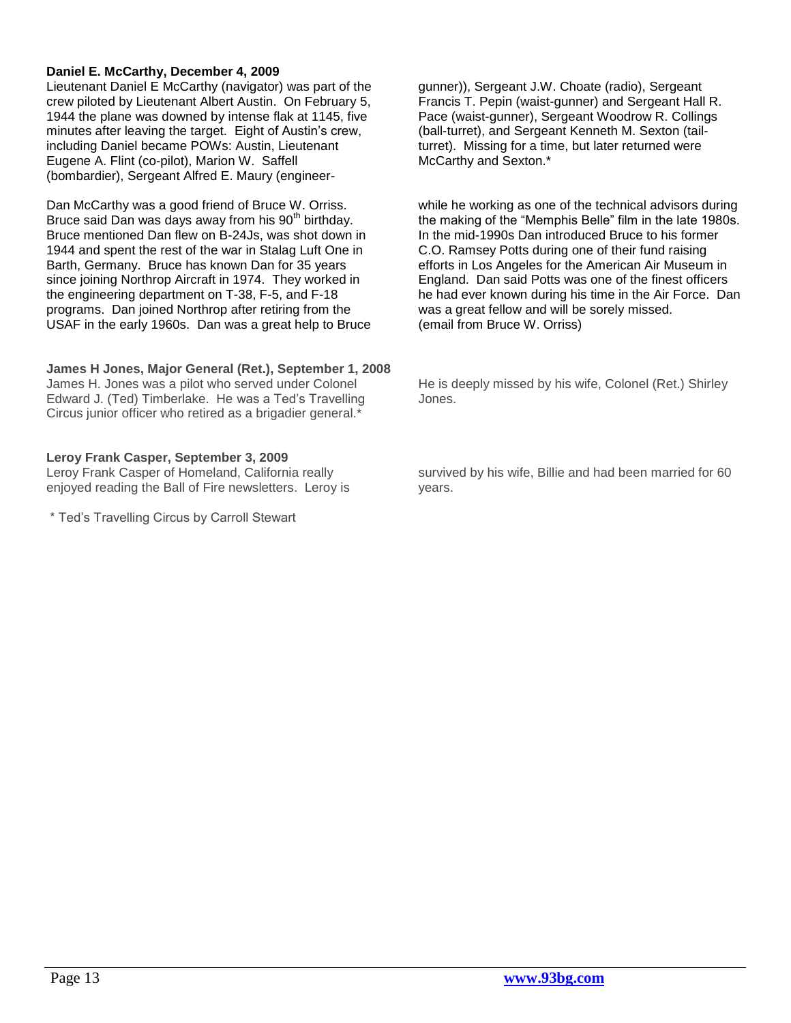#### **Daniel E. McCarthy, December 4, 2009**

Lieutenant Daniel E McCarthy (navigator) was part of the crew piloted by Lieutenant Albert Austin. On February 5, 1944 the plane was downed by intense flak at 1145, five minutes after leaving the target. Eight of Austin's crew, including Daniel became POWs: Austin, Lieutenant Eugene A. Flint (co-pilot), Marion W. Saffell (bombardier), Sergeant Alfred E. Maury (engineer-

Dan McCarthy was a good friend of Bruce W. Orriss. Bruce said Dan was days away from his 90<sup>th</sup> birthday. Bruce mentioned Dan flew on B-24Js, was shot down in 1944 and spent the rest of the war in Stalag Luft One in Barth, Germany. Bruce has known Dan for 35 years since joining Northrop Aircraft in 1974. They worked in the engineering department on T-38, F-5, and F-18 programs. Dan joined Northrop after retiring from the USAF in the early 1960s. Dan was a great help to Bruce

### **James H Jones, Major General (Ret.), September 1, 2008**

James H. Jones was a pilot who served under Colonel Edward J. (Ted) Timberlake. He was a Ted"s Travelling Circus junior officer who retired as a brigadier general.\*

#### **Leroy Frank Casper, September 3, 2009**

Leroy Frank Casper of Homeland, California really enjoyed reading the Ball of Fire newsletters. Leroy is

\* Ted"s Travelling Circus by Carroll Stewart

gunner)), Sergeant J.W. Choate (radio), Sergeant Francis T. Pepin (waist-gunner) and Sergeant Hall R. Pace (waist-gunner), Sergeant Woodrow R. Collings (ball-turret), and Sergeant Kenneth M. Sexton (tailturret). Missing for a time, but later returned were McCarthy and Sexton.\*

while he working as one of the technical advisors during the making of the "Memphis Belle" film in the late 1980s. In the mid-1990s Dan introduced Bruce to his former C.O. Ramsey Potts during one of their fund raising efforts in Los Angeles for the American Air Museum in England. Dan said Potts was one of the finest officers he had ever known during his time in the Air Force. Dan was a great fellow and will be sorely missed. (email from Bruce W. Orriss)

He is deeply missed by his wife, Colonel (Ret.) Shirley Jones.

survived by his wife, Billie and had been married for 60 years.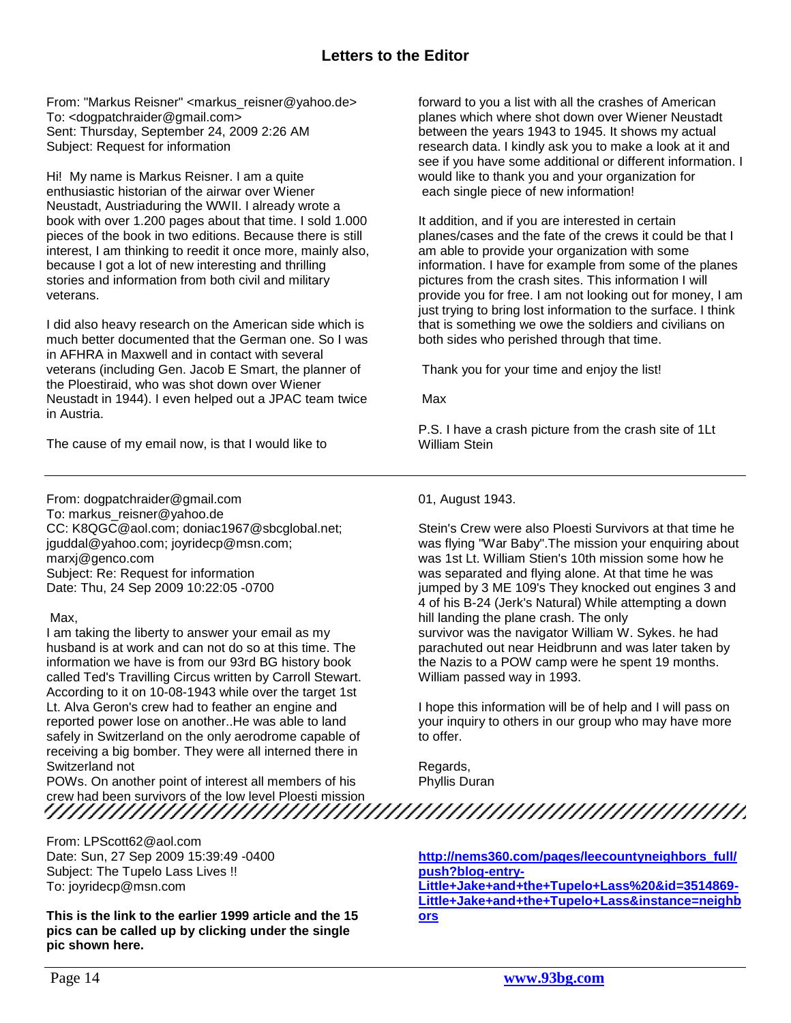## **Letters to the Editor**

<span id="page-13-0"></span>From: "Markus Reisner" <markus\_reisner@yahoo.de> To: <dogpatchraider@gmail.com> Sent: Thursday, September 24, 2009 2:26 AM Subject: Request for information

Hi! My name is Markus Reisner. I am a quite enthusiastic historian of the airwar over Wiener Neustadt, Austriaduring the WWII. I already wrote a book with over 1.200 pages about that time. I sold 1.000 pieces of the book in two editions. Because there is still interest, I am thinking to reedit it once more, mainly also, because I got a lot of new interesting and thrilling stories and information from both civil and military veterans.

I did also heavy research on the American side which is much better documented that the German one. So I was in AFHRA in Maxwell and in contact with several veterans (including Gen. Jacob E Smart, the planner of the Ploestiraid, who was shot down over Wiener Neustadt in 1944). I even helped out a JPAC team twice in Austria.

The cause of my email now, is that I would like to

From: dogpatchraider@gmail.com To: markus\_reisner@yahoo.de CC: K8QGC@aol.com; doniac1967@sbcglobal.net; jguddal@yahoo.com; joyridecp@msn.com; marxj@genco.com Subject: Re: Request for information Date: Thu, 24 Sep 2009 10:22:05 -0700

#### Max,

I am taking the liberty to answer your email as my husband is at work and can not do so at this time. The information we have is from our 93rd BG history book called Ted's Travilling Circus written by Carroll Stewart. According to it on 10-08-1943 while over the target 1st Lt. Alva Geron's crew had to feather an engine and reported power lose on another..He was able to land safely in Switzerland on the only aerodrome capable of receiving a big bomber. They were all interned there in Switzerland not

POWs. On another point of interest all members of his crew had been survivors of the low level Ploesti mission

From: LPScott62@aol.com Date: Sun, 27 Sep 2009 15:39:49 -0400 Subject: The Tupelo Lass Lives !! To: joyridecp@msn.com

**This is the link to the earlier 1999 article and the 15 pics can be called up by clicking under the single pic shown here.**

forward to you a list with all the crashes of American planes which where shot down over Wiener Neustadt between the years 1943 to 1945. It shows my actual research data. I kindly ask you to make a look at it and see if you have some additional or different information. I would like to thank you and your organization for each single piece of new information!

It addition, and if you are interested in certain planes/cases and the fate of the crews it could be that I am able to provide your organization with some information. I have for example from some of the planes pictures from the crash sites. This information I will provide you for free. I am not looking out for money, I am just trying to bring lost information to the surface. I think that is something we owe the soldiers and civilians on both sides who perished through that time.

Thank you for your time and enjoy the list!

Max

P.S. I have a crash picture from the crash site of 1Lt William Stein

01, August 1943.

Stein's Crew were also Ploesti Survivors at that time he was flying "War Baby".The mission your enquiring about was 1st Lt. William Stien's 10th mission some how he was separated and flying alone. At that time he was jumped by 3 ME 109's They knocked out engines 3 and 4 of his B-24 (Jerk's Natural) While attempting a down hill landing the plane crash. The only survivor was the navigator William W. Sykes. he had parachuted out near Heidbrunn and was later taken by the Nazis to a POW camp were he spent 19 months. William passed way in 1993.

I hope this information will be of help and I will pass on your inquiry to others in our group who may have more to offer.

Regards, Phyllis Duran

**[http://nems360.com/pages/leecountyneighbors\\_full/](http://nems360.com/pages/leecountyneighbors_full/push?blog-entry-Little+Jake+and+the+Tupelo+Lass%20&id=3514869-Little+Jake+and+the+Tupelo+Lass&instance=neighbors) [push?blog-entry-](http://nems360.com/pages/leecountyneighbors_full/push?blog-entry-Little+Jake+and+the+Tupelo+Lass%20&id=3514869-Little+Jake+and+the+Tupelo+Lass&instance=neighbors)[Little+Jake+and+the+Tupelo+Lass%20&id=3514869-](http://nems360.com/pages/leecountyneighbors_full/push?blog-entry-Little+Jake+and+the+Tupelo+Lass%20&id=3514869-Little+Jake+and+the+Tupelo+Lass&instance=neighbors) [Little+Jake+and+the+Tupelo+Lass&instance=neighb](http://nems360.com/pages/leecountyneighbors_full/push?blog-entry-Little+Jake+and+the+Tupelo+Lass%20&id=3514869-Little+Jake+and+the+Tupelo+Lass&instance=neighbors) [ors](http://nems360.com/pages/leecountyneighbors_full/push?blog-entry-Little+Jake+and+the+Tupelo+Lass%20&id=3514869-Little+Jake+and+the+Tupelo+Lass&instance=neighbors)**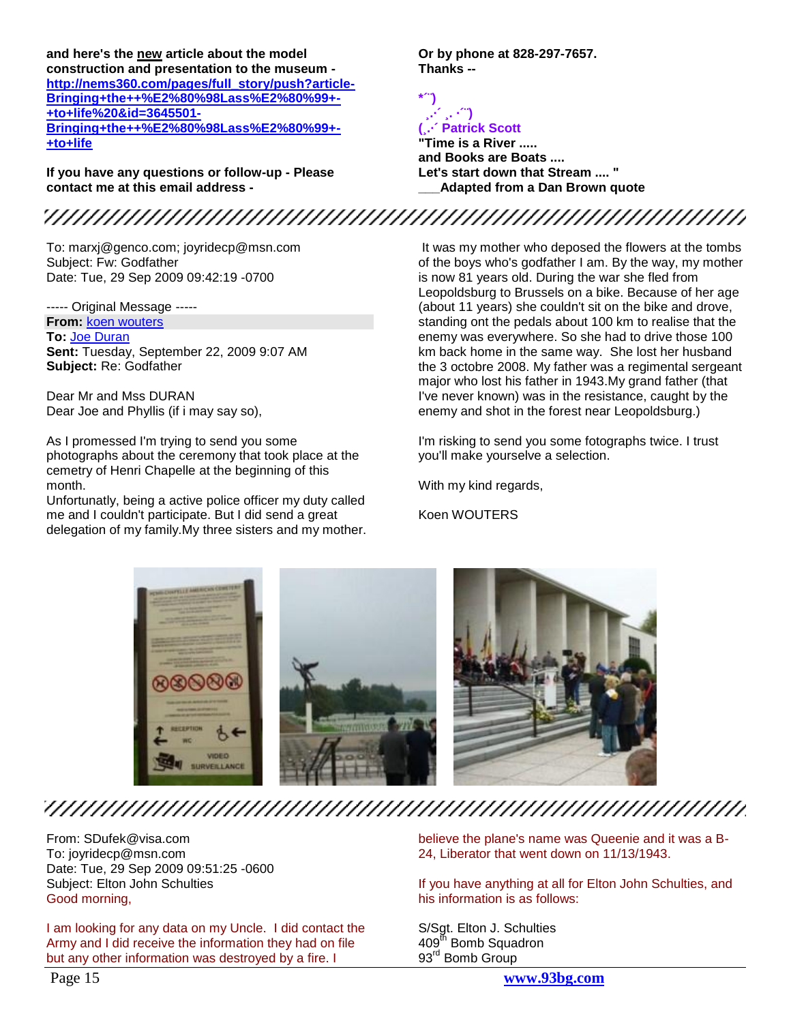**and here's the new article about the model construction and presentation to the museum [http://nems360.com/pages/full\\_story/push?article-](http://nems360.com/pages/full_story/push?article-Bringing+the++%E2%80%98Lass%E2%80%99+-+to+life%20&id=3645501-Bringing+the++%E2%80%98Lass%E2%80%99+-+to+life)[Bringing+the++%E2%80%98Lass%E2%80%99+-](http://nems360.com/pages/full_story/push?article-Bringing+the++%E2%80%98Lass%E2%80%99+-+to+life%20&id=3645501-Bringing+the++%E2%80%98Lass%E2%80%99+-+to+life) [+to+life%20&id=3645501-](http://nems360.com/pages/full_story/push?article-Bringing+the++%E2%80%98Lass%E2%80%99+-+to+life%20&id=3645501-Bringing+the++%E2%80%98Lass%E2%80%99+-+to+life) [Bringing+the++%E2%80%98Lass%E2%80%99+-](http://nems360.com/pages/full_story/push?article-Bringing+the++%E2%80%98Lass%E2%80%99+-+to+life%20&id=3645501-Bringing+the++%E2%80%98Lass%E2%80%99+-+to+life) [+to+life](http://nems360.com/pages/full_story/push?article-Bringing+the++%E2%80%98Lass%E2%80%99+-+to+life%20&id=3645501-Bringing+the++%E2%80%98Lass%E2%80%99+-+to+life)**

**If you have any questions or follow-up - Please contact me at this email address -**

To: marxj@genco.com; joyridecp@msn.com Subject: Fw: Godfather Date: Tue, 29 Sep 2009 09:42:19 -0700

----- Original Message ----- **From:** [koen wouters](mailto:koen.wouters1@telenet.be) **To:** [Joe Duran](mailto:dogpatchraider@gmail.com) **Sent:** Tuesday, September 22, 2009 9:07 AM **Subject:** Re: Godfather

Dear Mr and Mss DURAN Dear Joe and Phyllis (if i may say so),

As I promessed I'm trying to send you some photographs about the ceremony that took place at the cemetry of Henri Chapelle at the beginning of this month.

Unfortunatly, being a active police officer my duty called me and I couldn't participate. But I did send a great delegation of my family.My three sisters and my mother.

It was my mother who deposed the flowers at the tombs of the boys who's godfather I am. By the way, my mother is now 81 years old. During the war she fled from Leopoldsburg to Brussels on a bike. Because of her age (about 11 years) she couldn't sit on the bike and drove, standing ont the pedals about 100 km to realise that the enemy was everywhere. So she had to drive those 100 km back home in the same way. She lost her husband the 3 octobre 2008. My father was a regimental sergeant major who lost his father in 1943.My grand father (that I've never known) was in the resistance, caught by the enemy and shot in the forest near Leopoldsburg.)

I'm risking to send you some fotographs twice. I trust you'll make yourselve a selection.

With my kind regards,

Koen WOUTERS



From: SDufek@visa.com To: joyridecp@msn.com Date: Tue, 29 Sep 2009 09:51:25 -0600 Subject: Elton John Schulties Good morning,

I am looking for any data on my Uncle. I did contact the Army and I did receive the information they had on file but any other information was destroyed by a fire. I

believe the plane's name was Queenie and it was a B-24, Liberator that went down on 11/13/1943.

If you have anything at all for Elton John Schulties, and his information is as follows:

S/Sgt. Elton J. Schulties 409<sup>th</sup> Bomb Squadron 93<sup>rd</sup> Bomb Group

Page 15 **www.93bg.com**







#### **¸.·´ ¸. ·´¨) (¸.·´ Patrick Scott "Time is a River .....**

**Thanks --**

**\*´¨)**

**Or by phone at 828-297-7657.**

**and Books are Boats .... Let's start down that Stream .... " \_\_\_Adapted from a Dan Brown quote**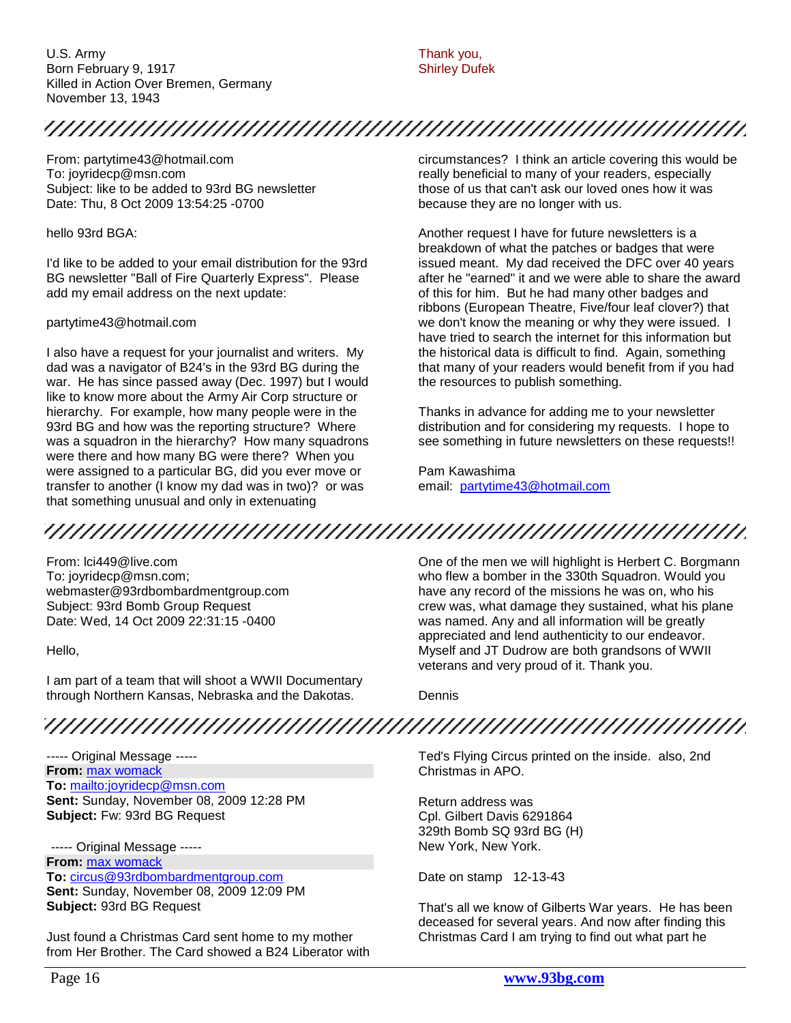U.S. Army Born February 9, 1917 Killed in Action Over Bremen, Germany November 13, 1943

Thank you, Shirley Dufek

## 

From: partytime43@hotmail.com To: joyridecp@msn.com Subject: like to be added to 93rd BG newsletter Date: Thu, 8 Oct 2009 13:54:25 -0700

hello 93rd BGA:

I'd like to be added to your email distribution for the 93rd BG newsletter "Ball of Fire Quarterly Express". Please add my email address on the next update:

#### partytime43@hotmail.com

I also have a request for your journalist and writers. My dad was a navigator of B24's in the 93rd BG during the war. He has since passed away (Dec. 1997) but I would like to know more about the Army Air Corp structure or hierarchy. For example, how many people were in the 93rd BG and how was the reporting structure? Where was a squadron in the hierarchy? How many squadrons were there and how many BG were there? When you were assigned to a particular BG, did you ever move or transfer to another (I know my dad was in two)? or was that something unusual and only in extenuating

circumstances? I think an article covering this would be really beneficial to many of your readers, especially those of us that can't ask our loved ones how it was because they are no longer with us.

Another request I have for future newsletters is a breakdown of what the patches or badges that were issued meant. My dad received the DFC over 40 years after he "earned" it and we were able to share the award of this for him. But he had many other badges and ribbons (European Theatre, Five/four leaf clover?) that we don't know the meaning or why they were issued. I have tried to search the internet for this information but the historical data is difficult to find. Again, something that many of your readers would benefit from if you had the resources to publish something.

Thanks in advance for adding me to your newsletter distribution and for considering my requests. I hope to see something in future newsletters on these requests!!

Pam Kawashima email: [partytime43@hotmail.com](mailto:partytime43@hotmail.com)

## 

From: lci449@live.com To: joyridecp@msn.com; webmaster@93rdbombardmentgroup.com Subject: 93rd Bomb Group Request Date: Wed, 14 Oct 2009 22:31:15 -0400

Hello,

I am part of a team that will shoot a WWII Documentary through Northern Kansas, Nebraska and the Dakotas.

One of the men we will highlight is Herbert C. Borgmann who flew a bomber in the 330th Squadron. Would you have any record of the missions he was on, who his crew was, what damage they sustained, what his plane was named. Any and all information will be greatly appreciated and lend authenticity to our endeavor. Myself and JT Dudrow are both grandsons of WWII veterans and very proud of it. Thank you.

Dennis

## 

----- Original Message ----- **From:** [max womack](mailto:maxwomack@provalue.net) **To:** <mailto:joyridecp@msn.com> **Sent:** Sunday, November 08, 2009 12:28 PM **Subject:** Fw: 93rd BG Request

----- Original Message ----- **From:** [max womack](mailto:maxwomack@provalue.net) **To:** [circus@93rdbombardmentgroup.com](mailto:circus@93rdbombardmentgroup.com) **Sent:** Sunday, November 08, 2009 12:09 PM **Subject:** 93rd BG Request

Just found a Christmas Card sent home to my mother from Her Brother. The Card showed a B24 Liberator with Ted's Flying Circus printed on the inside. also, 2nd Christmas in APO.

Return address was Cpl. Gilbert Davis 6291864 329th Bomb SQ 93rd BG (H) New York, New York.

Date on stamp 12-13-43

That's all we know of Gilberts War years. He has been deceased for several years. And now after finding this Christmas Card I am trying to find out what part he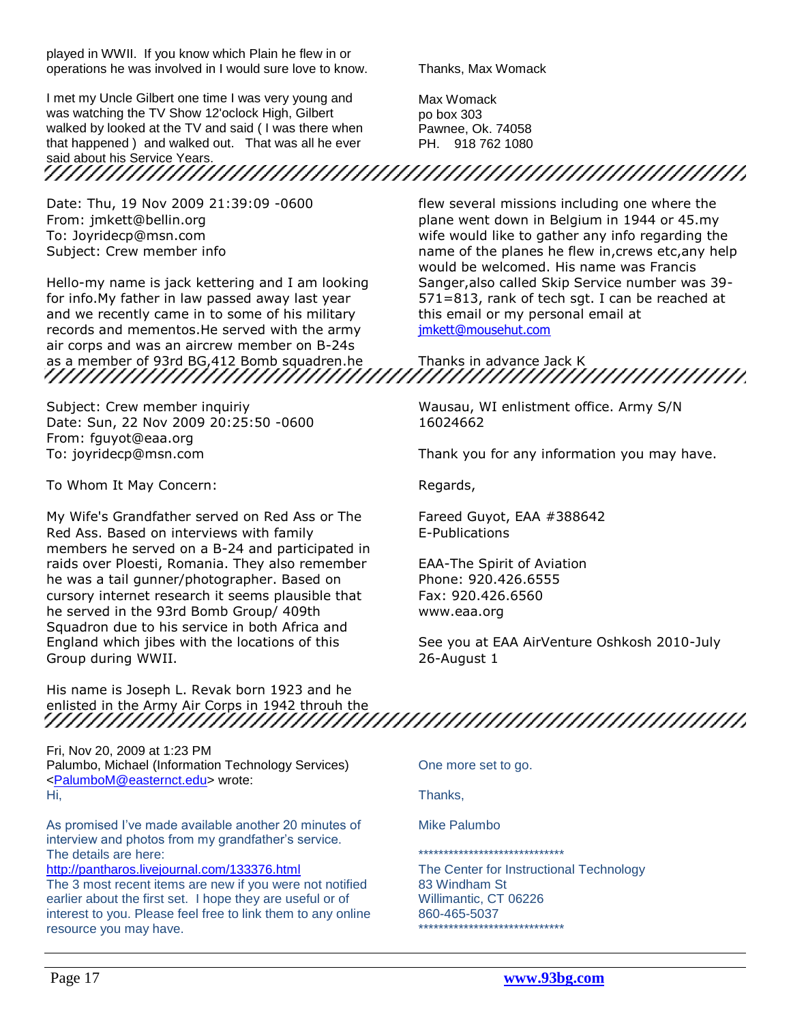played in WWII. If you know which Plain he flew in or operations he was involved in I would sure love to know.

I met my Uncle Gilbert one time I was very young and was watching the TV Show 12'oclock High, Gilbert walked by looked at the TV and said ( I was there when that happened ) and walked out. That was all he ever

said about his Service Years.

Date: Thu, 19 Nov 2009 21:39:09 -0600 From: jmkett@bellin.org To: Joyridecp@msn.com Subject: Crew member info

Hello-my name is jack kettering and I am looking for info.My father in law passed away last year and we recently came in to some of his military records and mementos.He served with the army air corps and was an aircrew member on B-24s

Subject: Crew member inquiriy Date: Sun, 22 Nov 2009 20:25:50 -0600 From: fguyot@eaa.org To: joyridecp@msn.com

To Whom It May Concern:

My Wife's Grandfather served on Red Ass or The Red Ass. Based on interviews with family members he served on a B-24 and participated in raids over Ploesti, Romania. They also remember he was a tail gunner/photographer. Based on cursory internet research it seems plausible that he served in the 93rd Bomb Group/ 409th Squadron due to his service in both Africa and England which jibes with the locations of this Group during WWII.

Thanks, Max Womack

Max Womack po box 303 Pawnee, Ok. 74058 PH. 918 762 1080

flew several missions including one where the plane went down in Belgium in 1944 or 45.my wife would like to gather any info regarding the name of the planes he flew in,crews etc,any help would be welcomed. His name was Francis Sanger,also called Skip Service number was 39- 571=813, rank of tech sgt. I can be reached at this email or my personal email at [jmkett@mousehut.com](mailto:jmkett@mousehut.com)

as a member of 93rd BG,412 Bomb squadren.he Thanks in advance Jack K

Wausau, WI enlistment office. Army S/N 16024662

Thank you for any information you may have.

Regards,

Fareed Guyot, EAA #388642 E-Publications

EAA-The Spirit of Aviation Phone: 920.426.6555 Fax: 920.426.6560 www.eaa.org

See you at EAA AirVenture Oshkosh 2010-July 26-August 1

His name is Joseph L. Revak born 1923 and he enlisted in the Army Air Corps in 1942 throuh the

Fri, Nov 20, 2009 at 1:23 PM Palumbo, Michael (Information Technology Services) [<PalumboM@easternct.edu>](mailto:PalumboM@easternct.edu) wrote: Hi,

As promised I"ve made available another 20 minutes of interview and photos from my grandfather"s service. The details are here:

<http://pantharos.livejournal.com/133376.html> The 3 most recent items are new if you were not notified earlier about the first set. I hope they are useful or of interest to you. Please feel free to link them to any online resource you may have.

One more set to go.

Thanks,

Mike Palumbo

\*\*\*\*\*\*\*\*\*\*\*\*\*\*\*\*\*\*\*\*\*\*\*\*\*\*\*\*\*

The Center for Instructional Technology 83 Windham St Willimantic, CT 06226 860-465-5037 \*\*\*\*\*\*\*\*\*\*\*\*\*\*\*\*\*\*\*\*\*\*\*\*\*\*\*\*\*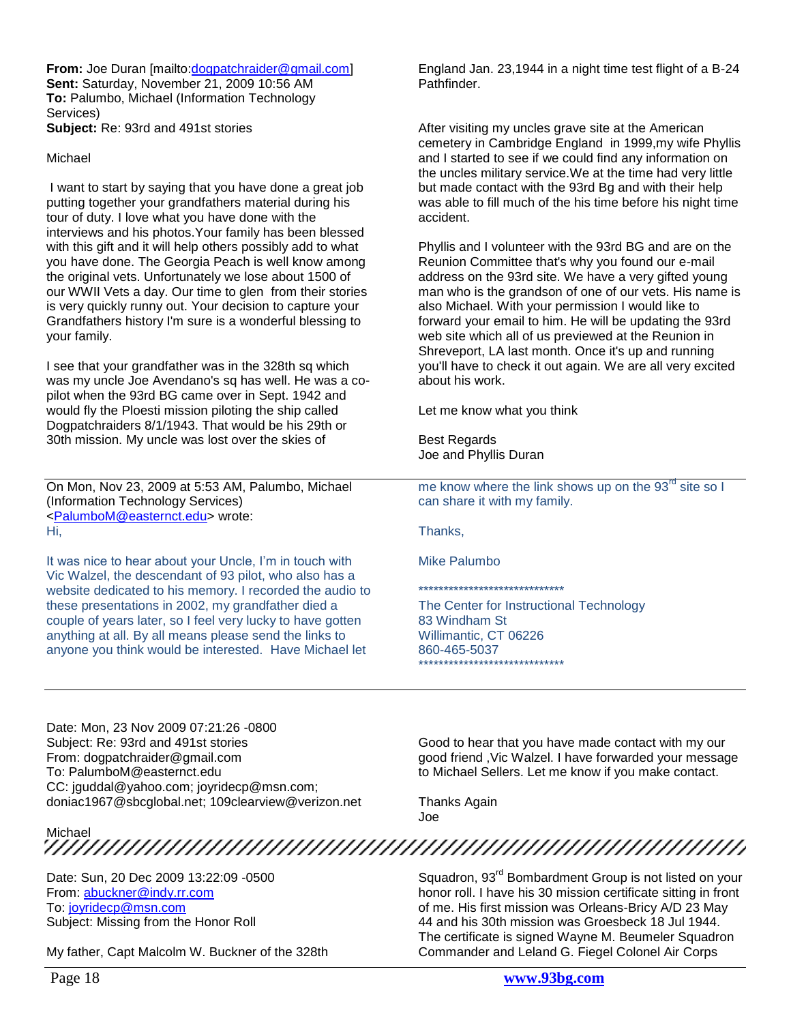From: Joe Duran [mailto[:dogpatchraider@gmail.com\]](mailto:dogpatchraider@gmail.com) **Sent:** Saturday, November 21, 2009 10:56 AM **To:** Palumbo, Michael (Information Technology Services)

**Subject:** Re: 93rd and 491st stories

#### Michael

I want to start by saying that you have done a great job putting together your grandfathers material during his tour of duty. I love what you have done with the interviews and his photos.Your family has been blessed with this gift and it will help others possibly add to what you have done. The Georgia Peach is well know among the original vets. Unfortunately we lose about 1500 of our WWII Vets a day. Our time to glen from their stories is very quickly runny out. Your decision to capture your Grandfathers history I'm sure is a wonderful blessing to your family.

I see that your grandfather was in the 328th sq which was my uncle Joe Avendano's sq has well. He was a copilot when the 93rd BG came over in Sept. 1942 and would fly the Ploesti mission piloting the ship called Dogpatchraiders 8/1/1943. That would be his 29th or 30th mission. My uncle was lost over the skies of

On Mon, Nov 23, 2009 at 5:53 AM, Palumbo, Michael (Information Technology Services) [<PalumboM@easternct.edu>](mailto:PalumboM@easternct.edu) wrote: Hi,

It was nice to hear about your Uncle, I'm in touch with Vic Walzel, the descendant of 93 pilot, who also has a website dedicated to his memory. I recorded the audio to these presentations in 2002, my grandfather died a couple of years later, so I feel very lucky to have gotten anything at all. By all means please send the links to anyone you think would be interested. Have Michael let

England Jan. 23,1944 in a night time test flight of a B-24 Pathfinder.

After visiting my uncles grave site at the American cemetery in Cambridge England in 1999,my wife Phyllis and I started to see if we could find any information on the uncles military service.We at the time had very little but made contact with the 93rd Bg and with their help was able to fill much of the his time before his night time accident.

Phyllis and I volunteer with the 93rd BG and are on the Reunion Committee that's why you found our e-mail address on the 93rd site. We have a very gifted young man who is the grandson of one of our vets. His name is also Michael. With your permission I would like to forward your email to him. He will be updating the 93rd web site which all of us previewed at the Reunion in Shreveport, LA last month. Once it's up and running you'll have to check it out again. We are all very excited about his work.

Let me know what you think

Best Regards Joe and Phyllis Duran

me know where the link shows up on the  $93<sup>rd</sup>$  site so I can share it with my family.

Thanks,

Mike Palumbo

\*\*\*\*\*\*\*\*\*\*\*\*\*\*\*\*\*\*\*\*\*\*\*\*\*\*\*\*\*

The Center for Instructional Technology 83 Windham St Willimantic, CT 06226 860-465-5037 \*\*\*\*\*\*\*\*\*\*\*\*\*\*\*\*\*\*\*\*\*\*\*\*\*\*\*\*\*

Date: Mon, 23 Nov 2009 07:21:26 -0800 Subject: Re: 93rd and 491st stories From: dogpatchraider@gmail.com To: PalumboM@easternct.edu CC: jguddal@yahoo.com; joyridecp@msn.com; doniac1967@sbcglobal.net; 109clearview@verizon.net

Good to hear that you have made contact with my our good friend ,Vic Walzel. I have forwarded your message to Michael Sellers. Let me know if you make contact.

Squadron, 93<sup>rd</sup> Bombardment Group is not listed on your honor roll. I have his 30 mission certificate sitting in front of me. His first mission was Orleans-Bricy A/D 23 May 44 and his 30th mission was Groesbeck 18 Jul 1944. The certificate is signed Wayne M. Beumeler Squadron

Thanks Again Joe

Michael

Date: Sun, 20 Dec 2009 13:22:09 -0500 From: [abuckner@indy.rr.com](mailto:abuckner@indy.rr.com) To: [joyridecp@msn.com](mailto:joyridecp@msn.com) Subject: Missing from the Honor Roll

My father, Capt Malcolm W. Buckner of the 328th

Page 18 **www.93bg.com** Commander and Leland G. Fiegel Colonel Air Corps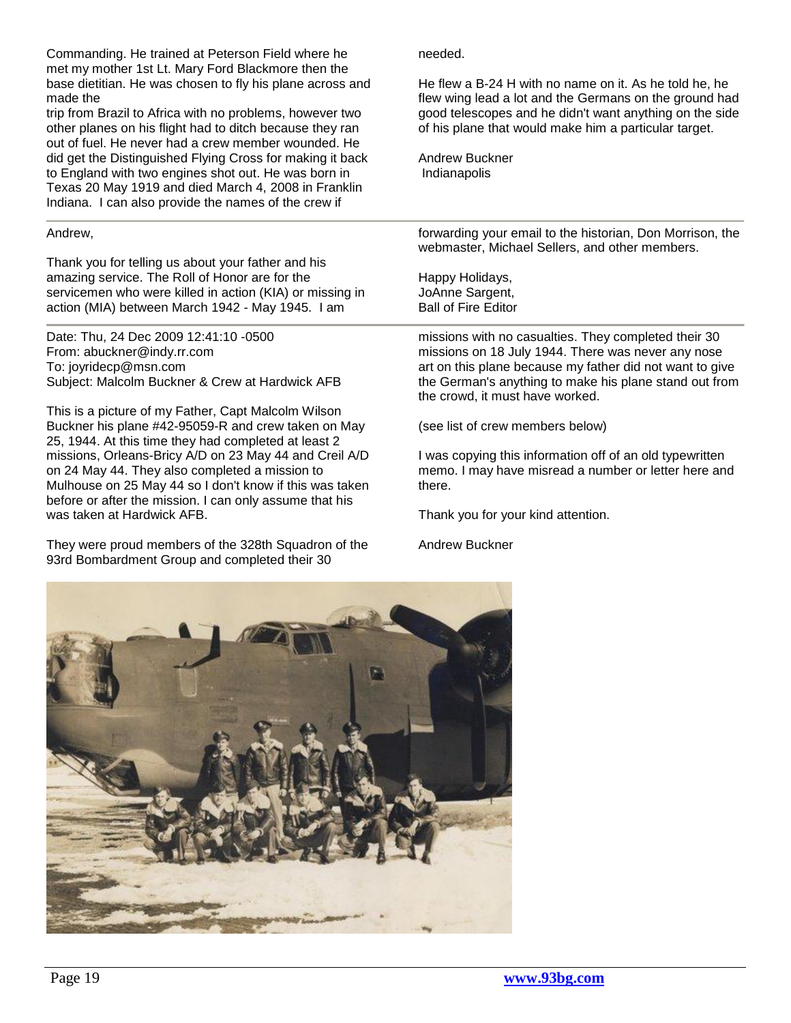Commanding. He trained at Peterson Field where he met my mother 1st Lt. Mary Ford Blackmore then the base dietitian. He was chosen to fly his plane across and made the

trip from Brazil to Africa with no problems, however two other planes on his flight had to ditch because they ran out of fuel. He never had a crew member wounded. He did get the Distinguished Flying Cross for making it back to England with two engines shot out. He was born in Texas 20 May 1919 and died March 4, 2008 in Franklin Indiana. I can also provide the names of the crew if

#### Andrew,

Thank you for telling us about your father and his amazing service. The Roll of Honor are for the servicemen who were killed in action (KIA) or missing in action (MIA) between March 1942 - May 1945. I am

Date: Thu, 24 Dec 2009 12:41:10 -0500 From: abuckner@indy.rr.com To: joyridecp@msn.com Subject: Malcolm Buckner & Crew at Hardwick AFB

This is a picture of my Father, Capt Malcolm Wilson Buckner his plane #42-95059-R and crew taken on May 25, 1944. At this time they had completed at least 2 missions, Orleans-Bricy A/D on 23 May 44 and Creil A/D on 24 May 44. They also completed a mission to Mulhouse on 25 May 44 so I don't know if this was taken before or after the mission. I can only assume that his was taken at Hardwick AFB.

They were proud members of the 328th Squadron of the 93rd Bombardment Group and completed their 30

needed.

He flew a B-24 H with no name on it. As he told he, he flew wing lead a lot and the Germans on the ground had good telescopes and he didn't want anything on the side of his plane that would make him a particular target.

Andrew Buckner Indianapolis

forwarding your email to the historian, Don Morrison, the webmaster, Michael Sellers, and other members.

Happy Holidays, JoAnne Sargent, Ball of Fire Editor

missions with no casualties. They completed their 30 missions on 18 July 1944. There was never any nose art on this plane because my father did not want to give the German's anything to make his plane stand out from the crowd, it must have worked.

(see list of crew members below)

I was copying this information off of an old typewritten memo. I may have misread a number or letter here and there.

Thank you for your kind attention.

Andrew Buckner

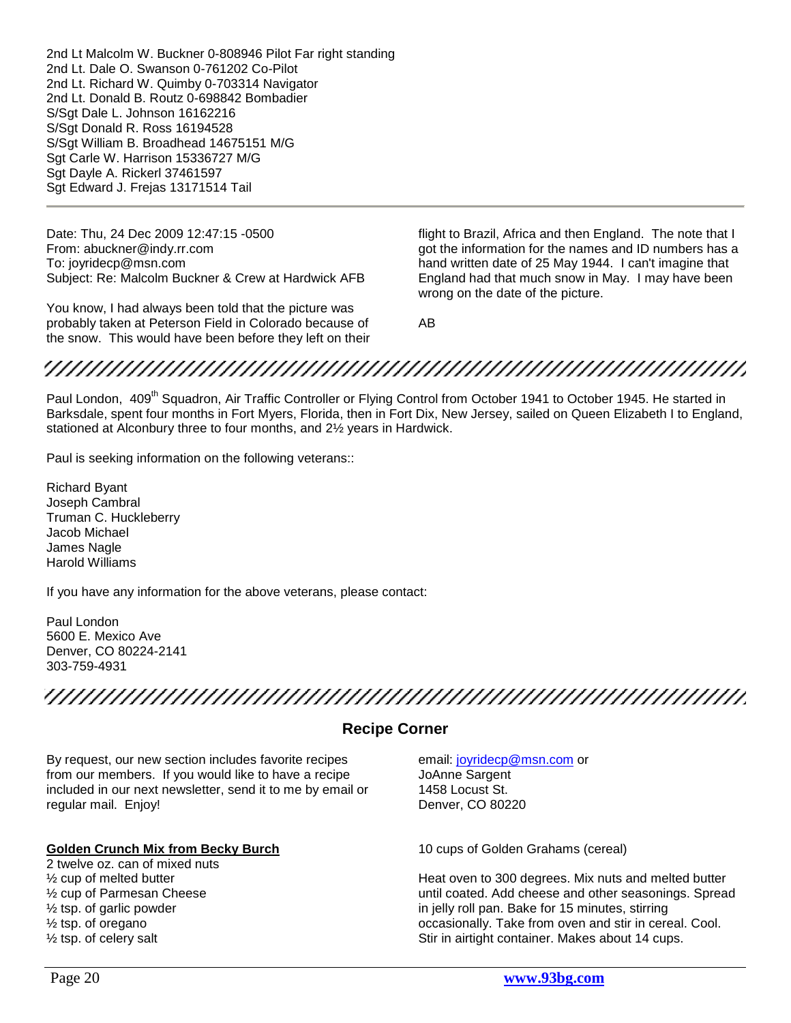2nd Lt Malcolm W. Buckner 0-808946 Pilot Far right standing 2nd Lt. Dale O. Swanson 0-761202 Co-Pilot 2nd Lt. Richard W. Quimby 0-703314 Navigator 2nd Lt. Donald B. Routz 0-698842 Bombadier S/Sgt Dale L. Johnson 16162216 S/Sgt Donald R. Ross 16194528 S/Sgt William B. Broadhead 14675151 M/G Sgt Carle W. Harrison 15336727 M/G Sgt Dayle A. Rickerl 37461597 Sgt Edward J. Frejas 13171514 Tail

Date: Thu, 24 Dec 2009 12:47:15 -0500 From: abuckner@indy.rr.com To: joyridecp@msn.com Subject: Re: Malcolm Buckner & Crew at Hardwick AFB

You know, I had always been told that the picture was probably taken at Peterson Field in Colorado because of the snow. This would have been before they left on their flight to Brazil, Africa and then England. The note that I got the information for the names and ID numbers has a hand written date of 25 May 1944. I can't imagine that England had that much snow in May. I may have been wrong on the date of the picture.

AB

## 

Paul London, 409<sup>th</sup> Squadron, Air Traffic Controller or Flying Control from October 1941 to October 1945. He started in Barksdale, spent four months in Fort Myers, Florida, then in Fort Dix, New Jersey, sailed on Queen Elizabeth I to England, stationed at Alconbury three to four months, and 2½ years in Hardwick.

Paul is seeking information on the following veterans::

Richard Byant Joseph Cambral Truman C. Huckleberry Jacob Michael James Nagle Harold Williams

If you have any information for the above veterans, please contact:

Paul London 5600 E. Mexico Ave Denver, CO 80224-2141 303-759-4931

## 

### **Recipe Corner**

<span id="page-19-0"></span>By request, our new section includes favorite recipes from our members. If you would like to have a recipe included in our next newsletter, send it to me by email or regular mail. Enjoy!

#### **Golden Crunch Mix from Becky Burch**

2 twelve oz. can of mixed nuts ½ cup of melted butter ½ cup of Parmesan Cheese ½ tsp. of garlic powder ½ tsp. of oregano ½ tsp. of celery salt

email: [joyridecp@msn.com](mailto:joyridecp@msn.com) or JoAnne Sargent 1458 Locust St. Denver, CO 80220

10 cups of Golden Grahams (cereal)

Heat oven to 300 degrees. Mix nuts and melted butter until coated. Add cheese and other seasonings. Spread in jelly roll pan. Bake for 15 minutes, stirring occasionally. Take from oven and stir in cereal. Cool. Stir in airtight container. Makes about 14 cups.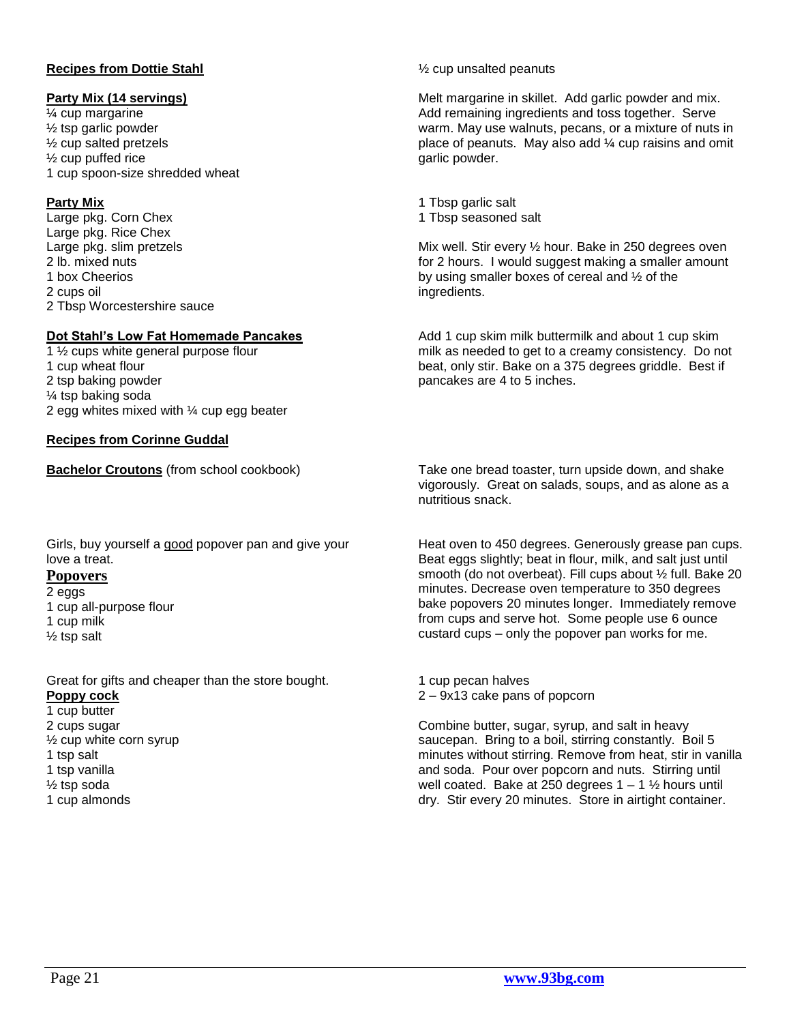#### **Recipes from Dottie Stahl**

#### **Party Mix (14 servings)**

¼ cup margarine ½ tsp garlic powder ½ cup salted pretzels ½ cup puffed rice 1 cup spoon-size shredded wheat

#### **Party Mix**

Large pkg. Corn Chex Large pkg. Rice Chex Large pkg. slim pretzels 2 lb. mixed nuts 1 box Cheerios 2 cups oil 2 Tbsp Worcestershire sauce

#### **Dot Stahl's Low Fat Homemade Pancakes**

1 ½ cups white general purpose flour 1 cup wheat flour 2 tsp baking powder ¼ tsp baking soda 2 egg whites mixed with ¼ cup egg beater

#### **Recipes from Corinne Guddal**

Girls, buy yourself a good popover pan and give your love a treat.

#### **Popovers**

- 2 eggs
- 1 cup all-purpose flour 1 cup milk ½ tsp salt

Great for gifts and cheaper than the store bought. **Poppy cock** 1 cup butter 2 cups sugar

- ½ cup white corn syrup 1 tsp salt 1 tsp vanilla ½ tsp soda
- 1 cup almonds

#### ½ cup unsalted peanuts

Melt margarine in skillet. Add garlic powder and mix. Add remaining ingredients and toss together. Serve warm. May use walnuts, pecans, or a mixture of nuts in place of peanuts. May also add  $\frac{1}{4}$  cup raisins and omit garlic powder.

1 Tbsp garlic salt 1 Tbsp seasoned salt

Mix well. Stir every ½ hour. Bake in 250 degrees oven for 2 hours. I would suggest making a smaller amount by using smaller boxes of cereal and ½ of the ingredients.

Add 1 cup skim milk buttermilk and about 1 cup skim milk as needed to get to a creamy consistency. Do not beat, only stir. Bake on a 375 degrees griddle. Best if pancakes are 4 to 5 inches.

**Bachelor Croutons** (from school cookbook) Take one bread toaster, turn upside down, and shake vigorously. Great on salads, soups, and as alone as a nutritious snack.

> Heat oven to 450 degrees. Generously grease pan cups. Beat eggs slightly; beat in flour, milk, and salt just until smooth (do not overbeat). Fill cups about ½ full. Bake 20 minutes. Decrease oven temperature to 350 degrees bake popovers 20 minutes longer. Immediately remove from cups and serve hot. Some people use 6 ounce custard cups – only the popover pan works for me.

1 cup pecan halves 2 – 9x13 cake pans of popcorn

Combine butter, sugar, syrup, and salt in heavy saucepan. Bring to a boil, stirring constantly. Boil 5 minutes without stirring. Remove from heat, stir in vanilla and soda. Pour over popcorn and nuts. Stirring until well coated. Bake at 250 degrees  $1 - 1$   $\frac{1}{2}$  hours until dry. Stir every 20 minutes. Store in airtight container.